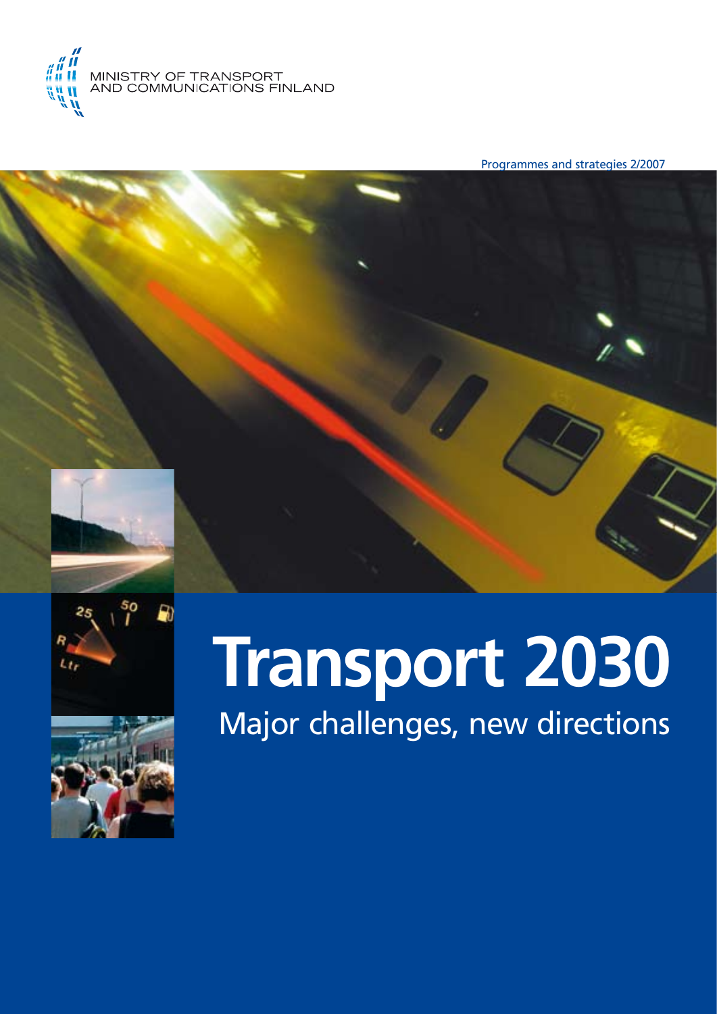

Programmes and strategies 2/2007







# **Transport 2030** Major challenges, new directions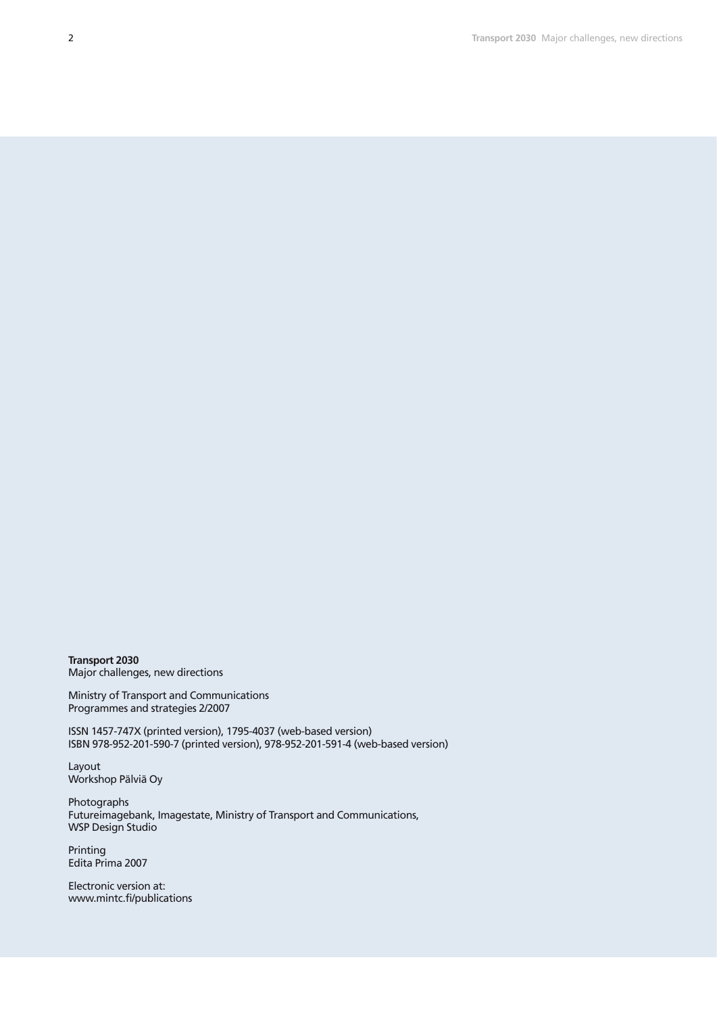**Transport 2030** Major challenges, new directions

Ministry of Transport and Communications Programmes and strategies 2/2007

ISSN 1457-747X (printed version), 1795-4037 (web-based version) ISBN 978-952-201-590-7 (printed version), 978-952-201-591-4 (web-based version)

Layout Workshop Pälviä Oy

Photographs Futureimagebank, Imagestate, Ministry of Transport and Communications, WSP Design Studio

Printing Edita Prima 2007

Electronic version at: www.mintc.fi/publications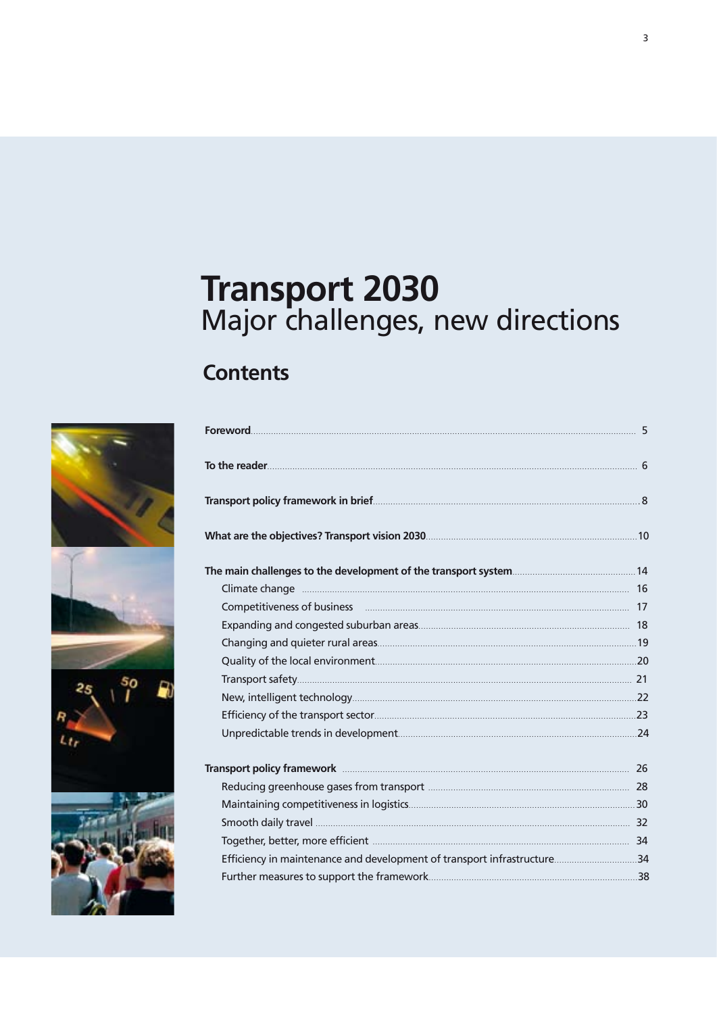# **Transport 2030**<br>Major challenges, new directions

# **Contents**



| Competitiveness of business <b>competitiveness</b> 17                   |  |  |
|-------------------------------------------------------------------------|--|--|
|                                                                         |  |  |
|                                                                         |  |  |
|                                                                         |  |  |
|                                                                         |  |  |
|                                                                         |  |  |
|                                                                         |  |  |
|                                                                         |  |  |
|                                                                         |  |  |
|                                                                         |  |  |
|                                                                         |  |  |
|                                                                         |  |  |
|                                                                         |  |  |
| Efficiency in maintenance and development of transport infrastructure34 |  |  |
|                                                                         |  |  |
|                                                                         |  |  |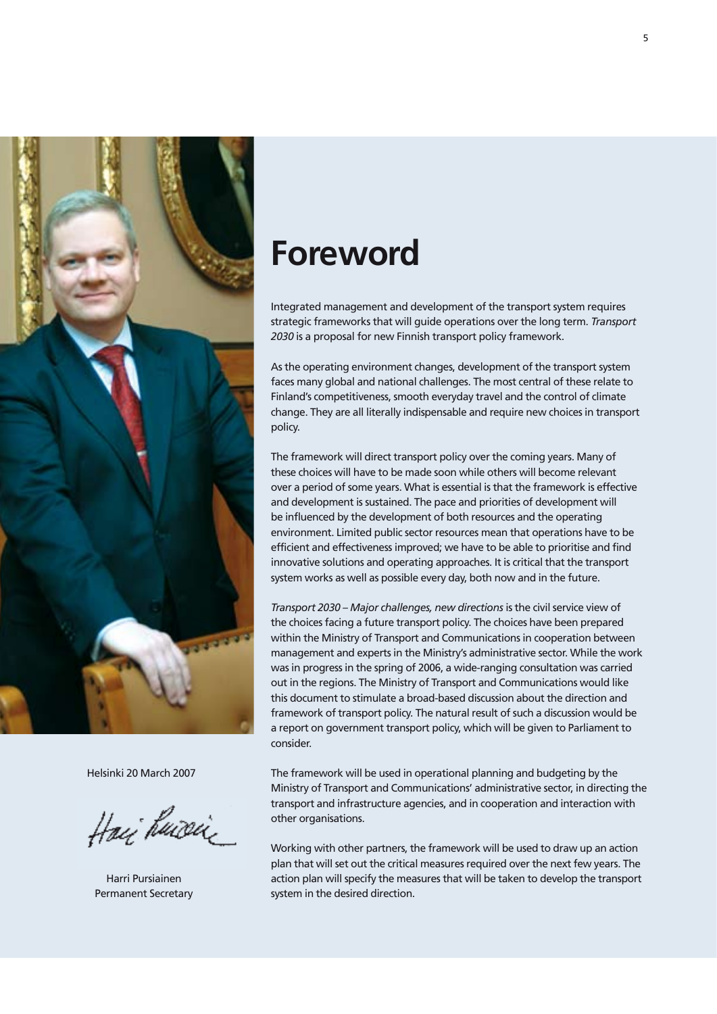

Helsinki 20 March 2007

Haij huiseiz

Harri Pursiainen Permanent Secretary

# **Foreword**

Integrated management and development of the transport system requires strategic frameworks that will guide operations over the long term. *Transport 2030* is a proposal for new Finnish transport policy framework.

As the operating environment changes, development of the transport system faces many global and national challenges. The most central of these relate to Finland's competitiveness, smooth everyday travel and the control of climate change. They are all literally indispensable and require new choices in transport policy.

The framework will direct transport policy over the coming years. Many of these choices will have to be made soon while others will become relevant over a period of some years. What is essential is that the framework is effective and development is sustained. The pace and priorities of development will be influenced by the development of both resources and the operating environment. Limited public sector resources mean that operations have to be efficient and effectiveness improved; we have to be able to prioritise and find innovative solutions and operating approaches. It is critical that the transport system works as well as possible every day, both now and in the future.

*Transport 2030 – Major challenges, new directions* is the civil service view of the choices facing a future transport policy. The choices have been prepared within the Ministry of Transport and Communications in cooperation between management and experts in the Ministry's administrative sector. While the work was in progress in the spring of 2006, a wide-ranging consultation was carried out in the regions. The Ministry of Transport and Communications would like this document to stimulate a broad-based discussion about the direction and framework of transport policy. The natural result of such a discussion would be a report on government transport policy, which will be given to Parliament to consider.

The framework will be used in operational planning and budgeting by the Ministry of Transport and Communications' administrative sector, in directing the transport and infrastructure agencies, and in cooperation and interaction with other organisations.

Working with other partners, the framework will be used to draw up an action plan that will set out the critical measures required over the next few years. The action plan will specify the measures that will be taken to develop the transport system in the desired direction.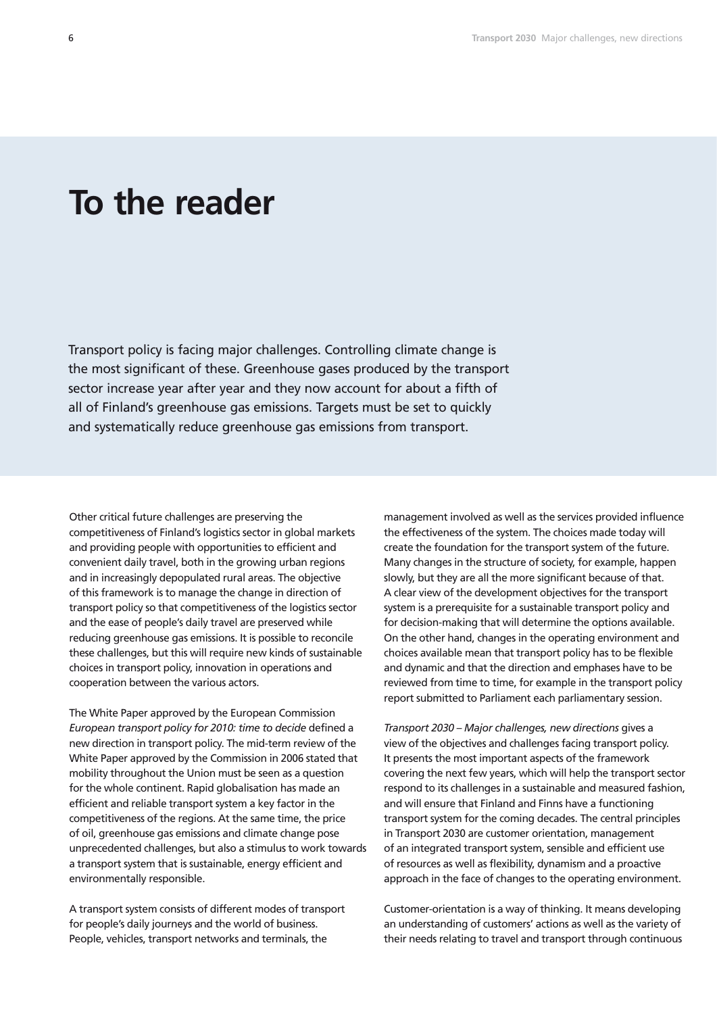# **To the reader**

Transport policy is facing major challenges. Controlling climate change is the most significant of these. Greenhouse gases produced by the transport sector increase year after year and they now account for about a fifth of all of Finland's greenhouse gas emissions. Targets must be set to quickly and systematically reduce greenhouse gas emissions from transport.

Other critical future challenges are preserving the competitiveness of Finland's logistics sector in global markets and providing people with opportunities to efficient and convenient daily travel, both in the growing urban regions and in increasingly depopulated rural areas. The objective of this framework is to manage the change in direction of transport policy so that competitiveness of the logistics sector and the ease of people's daily travel are preserved while reducing greenhouse gas emissions. It is possible to reconcile these challenges, but this will require new kinds of sustainable choices in transport policy, innovation in operations and cooperation between the various actors.

The White Paper approved by the European Commission *European transport policy for 2010: time to decide* defined a new direction in transport policy. The mid-term review of the White Paper approved by the Commission in 2006 stated that mobility throughout the Union must be seen as a question for the whole continent. Rapid globalisation has made an efficient and reliable transport system a key factor in the competitiveness of the regions. At the same time, the price of oil, greenhouse gas emissions and climate change pose unprecedented challenges, but also a stimulus to work towards a transport system that is sustainable, energy efficient and environmentally responsible.

A transport system consists of different modes of transport for people's daily journeys and the world of business. People, vehicles, transport networks and terminals, the

management involved as well as the services provided influence the effectiveness of the system. The choices made today will create the foundation for the transport system of the future. Many changes in the structure of society, for example, happen slowly, but they are all the more significant because of that. A clear view of the development objectives for the transport system is a prerequisite for a sustainable transport policy and for decision-making that will determine the options available. On the other hand, changes in the operating environment and choices available mean that transport policy has to be flexible and dynamic and that the direction and emphases have to be reviewed from time to time, for example in the transport policy report submitted to Parliament each parliamentary session.

*Transport 2030 – Major challenges, new directions* gives a view of the objectives and challenges facing transport policy. It presents the most important aspects of the framework covering the next few years, which will help the transport sector respond to its challenges in a sustainable and measured fashion, and will ensure that Finland and Finns have a functioning transport system for the coming decades. The central principles in Transport 2030 are customer orientation, management of an integrated transport system, sensible and efficient use of resources as well as flexibility, dynamism and a proactive approach in the face of changes to the operating environment.

Customer-orientation is a way of thinking. It means developing an understanding of customers' actions as well as the variety of their needs relating to travel and transport through continuous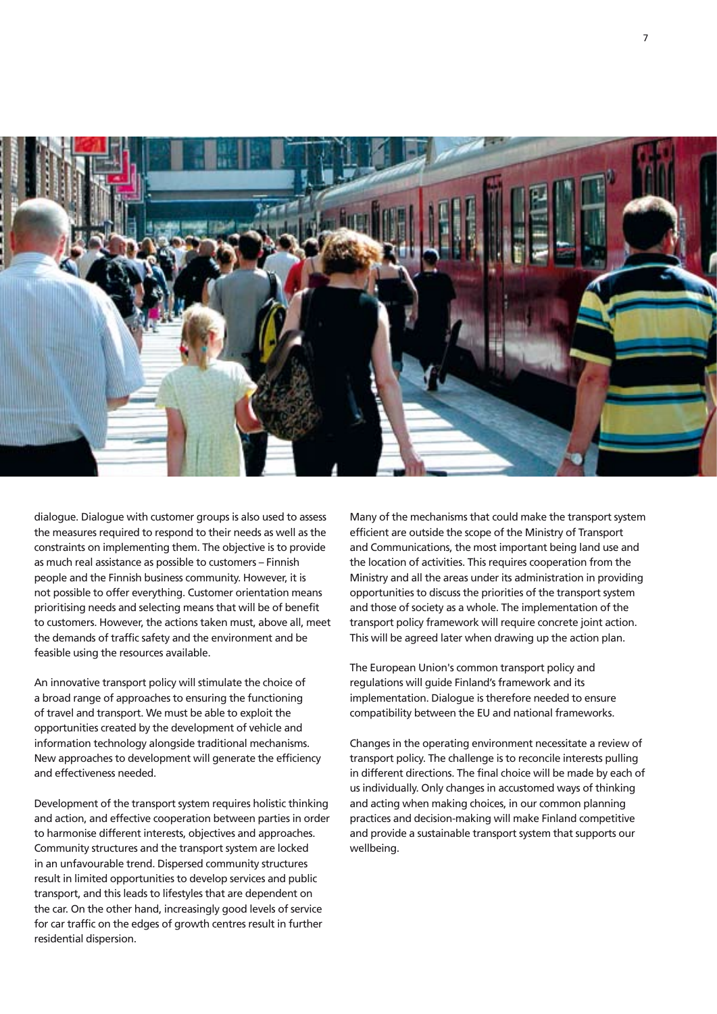

dialogue. Dialogue with customer groups is also used to assess the measures required to respond to their needs as well as the constraints on implementing them. The objective is to provide as much real assistance as possible to customers – Finnish people and the Finnish business community. However, it is not possible to offer everything. Customer orientation means prioritising needs and selecting means that will be of benefit to customers. However, the actions taken must, above all, meet the demands of traffic safety and the environment and be feasible using the resources available.

An innovative transport policy will stimulate the choice of a broad range of approaches to ensuring the functioning of travel and transport. We must be able to exploit the opportunities created by the development of vehicle and information technology alongside traditional mechanisms. New approaches to development will generate the efficiency and effectiveness needed.

Development of the transport system requires holistic thinking and action, and effective cooperation between parties in order to harmonise different interests, objectives and approaches. Community structures and the transport system are locked in an unfavourable trend. Dispersed community structures result in limited opportunities to develop services and public transport, and this leads to lifestyles that are dependent on the car. On the other hand, increasingly good levels of service for car traffic on the edges of growth centres result in further residential dispersion.

Many of the mechanisms that could make the transport system efficient are outside the scope of the Ministry of Transport and Communications, the most important being land use and the location of activities. This requires cooperation from the Ministry and all the areas under its administration in providing opportunities to discuss the priorities of the transport system and those of society as a whole. The implementation of the transport policy framework will require concrete joint action. This will be agreed later when drawing up the action plan.

The European Union's common transport policy and regulations will guide Finland's framework and its implementation. Dialogue is therefore needed to ensure compatibility between the EU and national frameworks.

Changes in the operating environment necessitate a review of transport policy. The challenge is to reconcile interests pulling in different directions. The final choice will be made by each of us individually. Only changes in accustomed ways of thinking and acting when making choices, in our common planning practices and decision-making will make Finland competitive and provide a sustainable transport system that supports our wellbeing.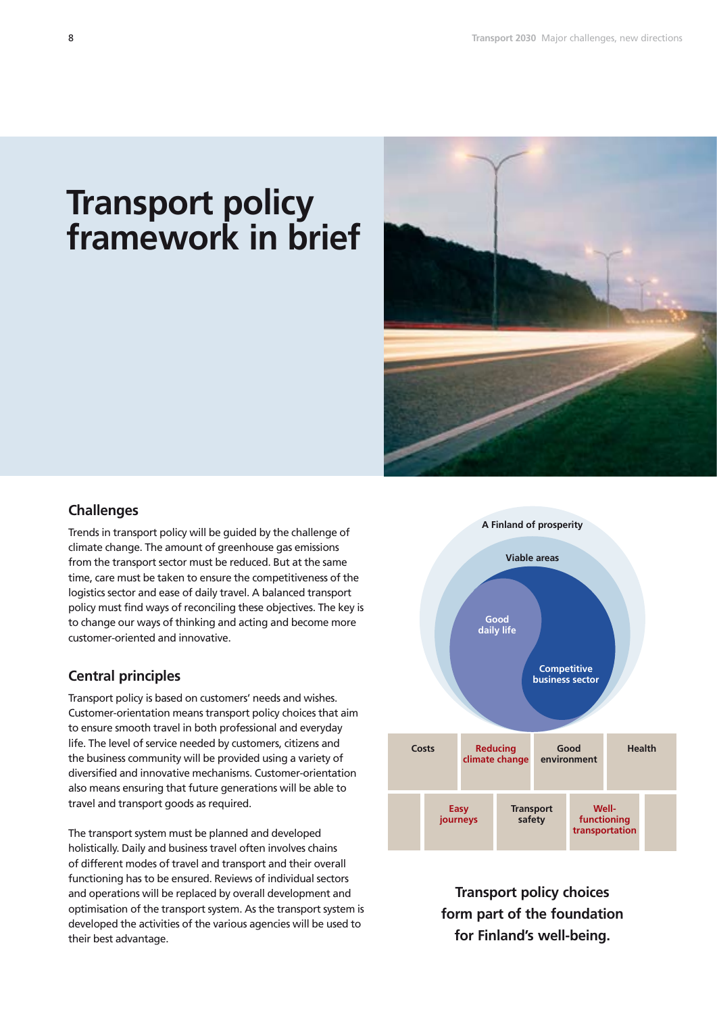# **Transport policy framework in brief**



### **Challenges**

Trends in transport policy will be guided by the challenge of climate change. The amount of greenhouse gas emissions from the transport sector must be reduced. But at the same time, care must be taken to ensure the competitiveness of the logistics sector and ease of daily travel. A balanced transport policy must find ways of reconciling these objectives. The key is to change our ways of thinking and acting and become more customer-oriented and innovative.

# **Central principles**

Transport policy is based on customers' needs and wishes. Customer-orientation means transport policy choices that aim to ensure smooth travel in both professional and everyday life. The level of service needed by customers, citizens and the business community will be provided using a variety of diversified and innovative mechanisms. Customer-orientation also means ensuring that future generations will be able to travel and transport goods as required.

The transport system must be planned and developed holistically. Daily and business travel often involves chains of different modes of travel and transport and their overall functioning has to be ensured. Reviews of individual sectors and operations will be replaced by overall development and optimisation of the transport system. As the transport system is developed the activities of the various agencies will be used to their best advantage.



**Transport policy choices form part of the foundation for Finland's well-being.**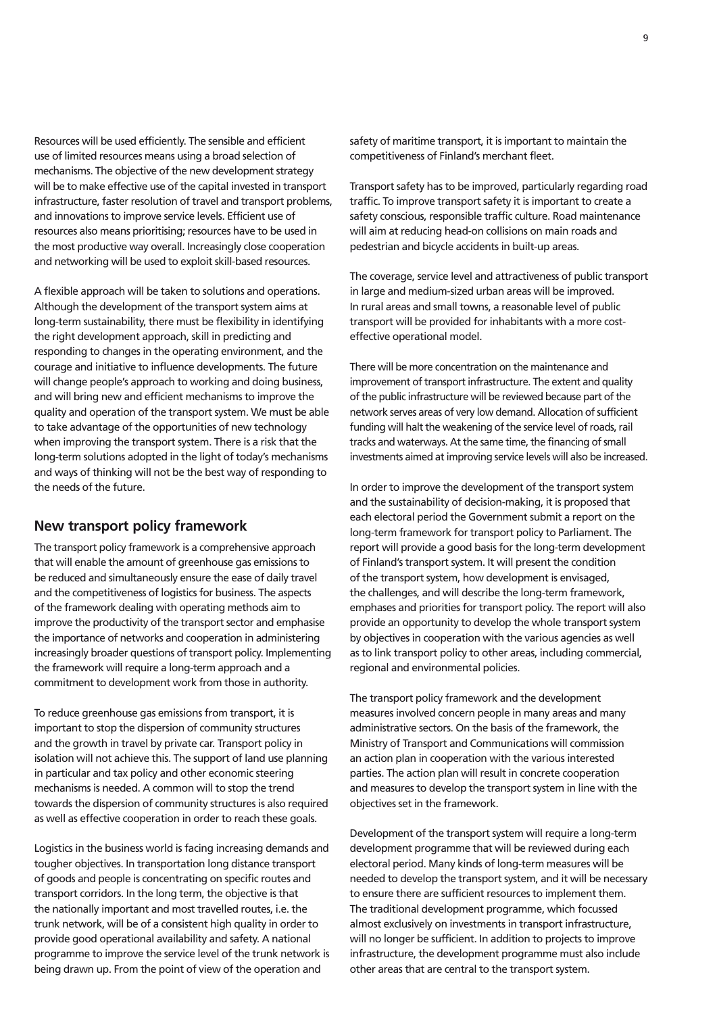Resources will be used efficiently. The sensible and efficient use of limited resources means using a broad selection of mechanisms. The objective of the new development strategy will be to make effective use of the capital invested in transport infrastructure, faster resolution of travel and transport problems, and innovations to improve service levels. Efficient use of resources also means prioritising; resources have to be used in the most productive way overall. Increasingly close cooperation and networking will be used to exploit skill-based resources.

A flexible approach will be taken to solutions and operations. Although the development of the transport system aims at long-term sustainability, there must be flexibility in identifying the right development approach, skill in predicting and responding to changes in the operating environment, and the courage and initiative to influence developments. The future will change people's approach to working and doing business, and will bring new and efficient mechanisms to improve the quality and operation of the transport system. We must be able to take advantage of the opportunities of new technology when improving the transport system. There is a risk that the long-term solutions adopted in the light of today's mechanisms and ways of thinking will not be the best way of responding to the needs of the future.

### **New transport policy framework**

The transport policy framework is a comprehensive approach that will enable the amount of greenhouse gas emissions to be reduced and simultaneously ensure the ease of daily travel and the competitiveness of logistics for business. The aspects of the framework dealing with operating methods aim to improve the productivity of the transport sector and emphasise the importance of networks and cooperation in administering increasingly broader questions of transport policy. Implementing the framework will require a long-term approach and a commitment to development work from those in authority.

To reduce greenhouse gas emissions from transport, it is important to stop the dispersion of community structures and the growth in travel by private car. Transport policy in isolation will not achieve this. The support of land use planning in particular and tax policy and other economic steering mechanisms is needed. A common will to stop the trend towards the dispersion of community structures is also required as well as effective cooperation in order to reach these goals.

Logistics in the business world is facing increasing demands and tougher objectives. In transportation long distance transport of goods and people is concentrating on specific routes and transport corridors. In the long term, the objective is that the nationally important and most travelled routes, i.e. the trunk network, will be of a consistent high quality in order to provide good operational availability and safety. A national programme to improve the service level of the trunk network is being drawn up. From the point of view of the operation and

safety of maritime transport, it is important to maintain the competitiveness of Finland's merchant fleet.

Transport safety has to be improved, particularly regarding road traffic. To improve transport safety it is important to create a safety conscious, responsible traffic culture. Road maintenance will aim at reducing head-on collisions on main roads and pedestrian and bicycle accidents in built-up areas.

The coverage, service level and attractiveness of public transport in large and medium-sized urban areas will be improved. In rural areas and small towns, a reasonable level of public transport will be provided for inhabitants with a more costeffective operational model.

There will be more concentration on the maintenance and improvement of transport infrastructure. The extent and quality of the public infrastructure will be reviewed because part of the network serves areas of very low demand. Allocation of sufficient funding will halt the weakening of the service level of roads, rail tracks and waterways. At the same time, the financing of small investments aimed at improving service levels will also be increased.

In order to improve the development of the transport system and the sustainability of decision-making, it is proposed that each electoral period the Government submit a report on the long-term framework for transport policy to Parliament. The report will provide a good basis for the long-term development of Finland's transport system. It will present the condition of the transport system, how development is envisaged, the challenges, and will describe the long-term framework, emphases and priorities for transport policy. The report will also provide an opportunity to develop the whole transport system by objectives in cooperation with the various agencies as well as to link transport policy to other areas, including commercial, regional and environmental policies.

The transport policy framework and the development measures involved concern people in many areas and many administrative sectors. On the basis of the framework, the Ministry of Transport and Communications will commission an action plan in cooperation with the various interested parties. The action plan will result in concrete cooperation and measures to develop the transport system in line with the objectives set in the framework.

Development of the transport system will require a long-term development programme that will be reviewed during each electoral period. Many kinds of long-term measures will be needed to develop the transport system, and it will be necessary to ensure there are sufficient resources to implement them. The traditional development programme, which focussed almost exclusively on investments in transport infrastructure, will no longer be sufficient. In addition to projects to improve infrastructure, the development programme must also include other areas that are central to the transport system.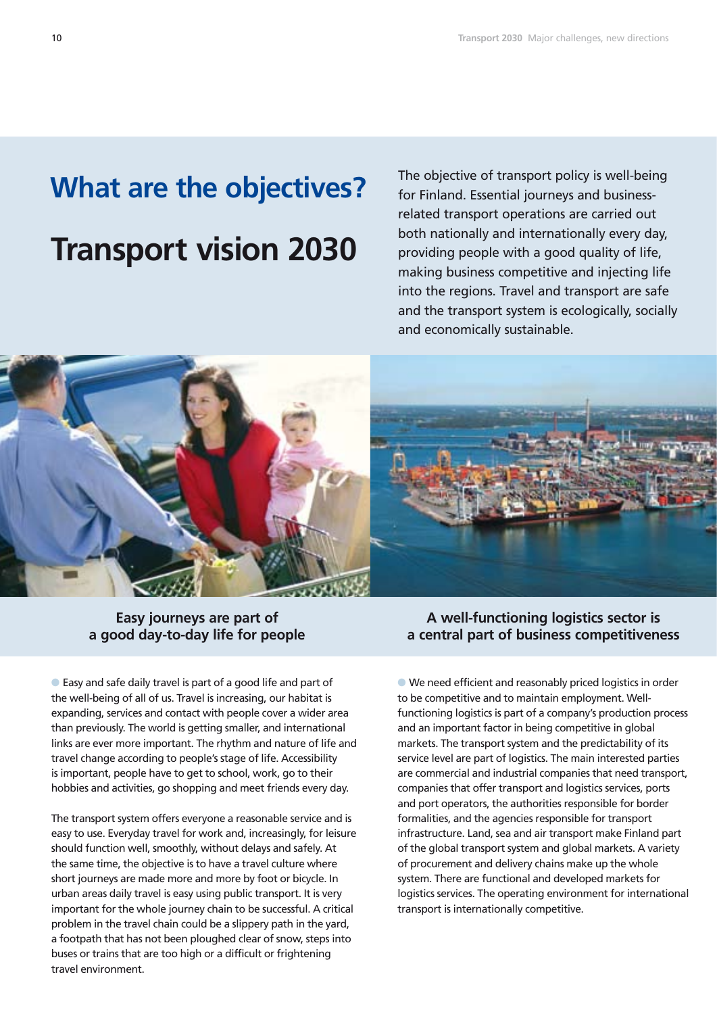# **Transport vision 2030**

**What are the objectives?** The objective of transport policy is well-being<br>for Finland. Essential journeys and businessfor Finland. Essential journeys and businessrelated transport operations are carried out both nationally and internationally every day, providing people with a good quality of life, making business competitive and injecting life into the regions. Travel and transport are safe and the transport system is ecologically, socially and economically sustainable.



# **Easy journeys are part of a good day-to-day life for people**

 Easy and safe daily travel is part of a good life and part of the well-being of all of us. Travel is increasing, our habitat is expanding, services and contact with people cover a wider area than previously. The world is getting smaller, and international links are ever more important. The rhythm and nature of life and travel change according to people's stage of life. Accessibility is important, people have to get to school, work, go to their hobbies and activities, go shopping and meet friends every day.

The transport system offers everyone a reasonable service and is easy to use. Everyday travel for work and, increasingly, for leisure should function well, smoothly, without delays and safely. At the same time, the objective is to have a travel culture where short journeys are made more and more by foot or bicycle. In urban areas daily travel is easy using public transport. It is very important for the whole journey chain to be successful. A critical problem in the travel chain could be a slippery path in the yard, a footpath that has not been ploughed clear of snow, steps into buses or trains that are too high or a difficult or frightening travel environment.

**A well-functioning logistics sector is a central part of business competitiveness**

 We need efficient and reasonably priced logistics in order to be competitive and to maintain employment. Wellfunctioning logistics is part of a company's production process and an important factor in being competitive in global markets. The transport system and the predictability of its service level are part of logistics. The main interested parties are commercial and industrial companies that need transport, companies that offer transport and logistics services, ports and port operators, the authorities responsible for border formalities, and the agencies responsible for transport infrastructure. Land, sea and air transport make Finland part of the global transport system and global markets. A variety of procurement and delivery chains make up the whole system. There are functional and developed markets for logistics services. The operating environment for international transport is internationally competitive.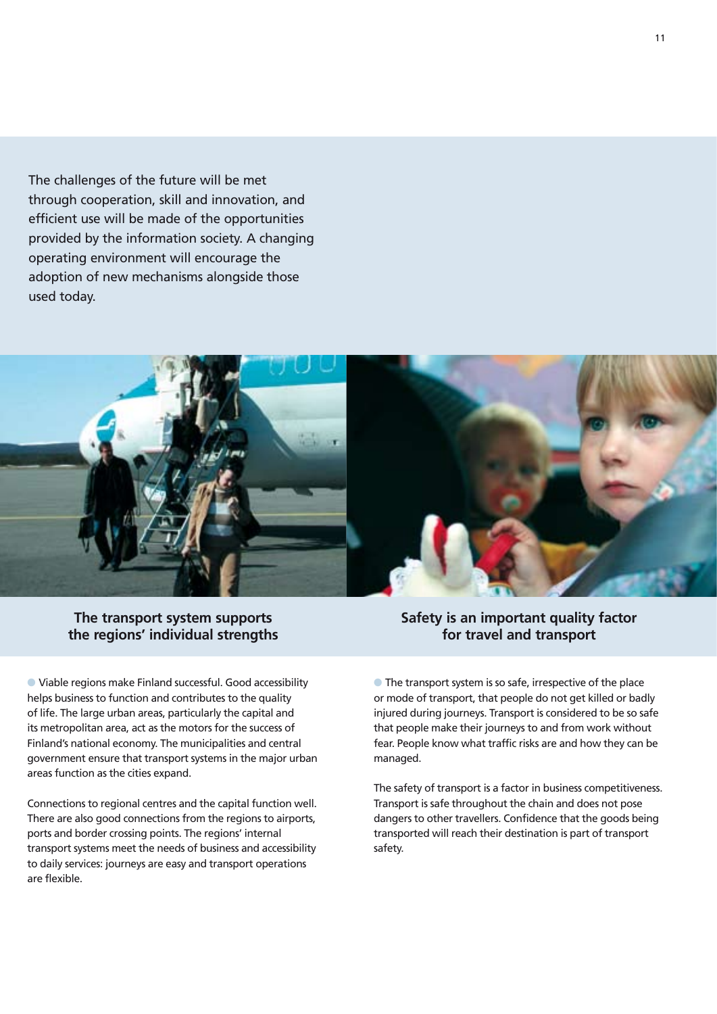The challenges of the future will be met through cooperation, skill and innovation, and efficient use will be made of the opportunities provided by the information society. A changing operating environment will encourage the adoption of new mechanisms alongside those used today.



**The transport system supports the regions' individual strengths** 

 Viable regions make Finland successful. Good accessibility helps business to function and contributes to the quality of life. The large urban areas, particularly the capital and its metropolitan area, act as the motors for the success of Finland's national economy. The municipalities and central government ensure that transport systems in the major urban areas function as the cities expand.

Connections to regional centres and the capital function well. There are also good connections from the regions to airports, ports and border crossing points. The regions' internal transport systems meet the needs of business and accessibility to daily services: journeys are easy and transport operations are flexible.

# **Safety is an important quality factor for travel and transport**

**• The transport system is so safe, irrespective of the place** or mode of transport, that people do not get killed or badly injured during journeys. Transport is considered to be so safe that people make their journeys to and from work without fear. People know what traffic risks are and how they can be managed.

The safety of transport is a factor in business competitiveness. Transport is safe throughout the chain and does not pose dangers to other travellers. Confidence that the goods being transported will reach their destination is part of transport safety.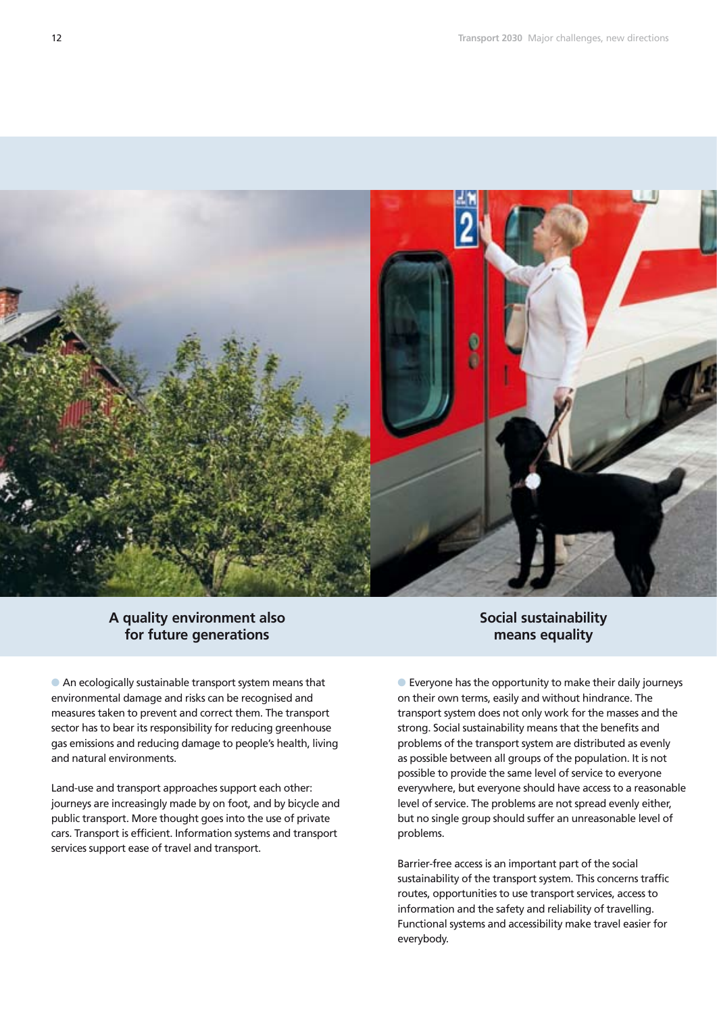

# **A quality environment also for future generations**

 An ecologically sustainable transport system means that environmental damage and risks can be recognised and measures taken to prevent and correct them. The transport sector has to bear its responsibility for reducing greenhouse gas emissions and reducing damage to people's health, living and natural environments.

Land-use and transport approaches support each other: journeys are increasingly made by on foot, and by bicycle and public transport. More thought goes into the use of private cars. Transport is efficient. Information systems and transport services support ease of travel and transport.

# **Social sustainability means equality**

 Everyone has the opportunity to make their daily journeys on their own terms, easily and without hindrance. The transport system does not only work for the masses and the strong. Social sustainability means that the benefits and problems of the transport system are distributed as evenly as possible between all groups of the population. It is not possible to provide the same level of service to everyone everywhere, but everyone should have access to a reasonable level of service. The problems are not spread evenly either, but no single group should suffer an unreasonable level of problems.

Barrier-free access is an important part of the social sustainability of the transport system. This concerns traffic routes, opportunities to use transport services, access to information and the safety and reliability of travelling. Functional systems and accessibility make travel easier for everybody.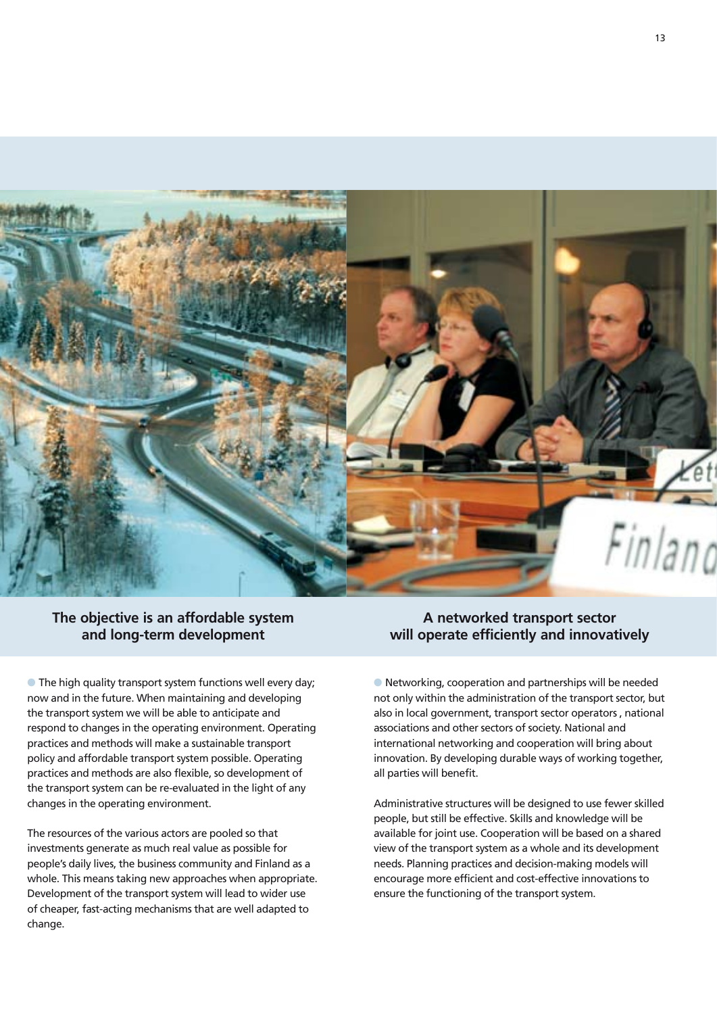

# **The objective is an affordable system and long-term development**

**• The high quality transport system functions well every day;** now and in the future. When maintaining and developing the transport system we will be able to anticipate and respond to changes in the operating environment. Operating practices and methods will make a sustainable transport policy and affordable transport system possible. Operating practices and methods are also flexible, so development of the transport system can be re-evaluated in the light of any changes in the operating environment.

The resources of the various actors are pooled so that investments generate as much real value as possible for people's daily lives, the business community and Finland as a whole. This means taking new approaches when appropriate. Development of the transport system will lead to wider use of cheaper, fast-acting mechanisms that are well adapted to change.

# **A networked transport sector will operate efficiently and innovatively**

 Networking, cooperation and partnerships will be needed not only within the administration of the transport sector, but also in local government, transport sector operators , national associations and other sectors of society. National and international networking and cooperation will bring about innovation. By developing durable ways of working together, all parties will benefit.

Administrative structures will be designed to use fewer skilled people, but still be effective. Skills and knowledge will be available for joint use. Cooperation will be based on a shared view of the transport system as a whole and its development needs. Planning practices and decision-making models will encourage more efficient and cost-effective innovations to ensure the functioning of the transport system.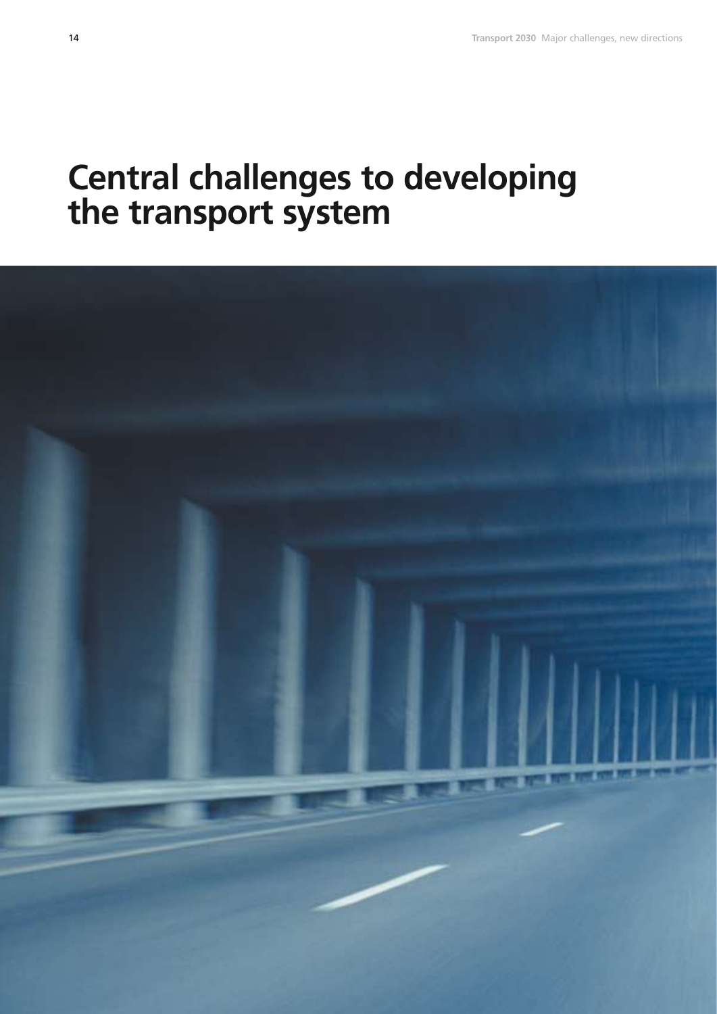# **Central challenges to developing the transport system**

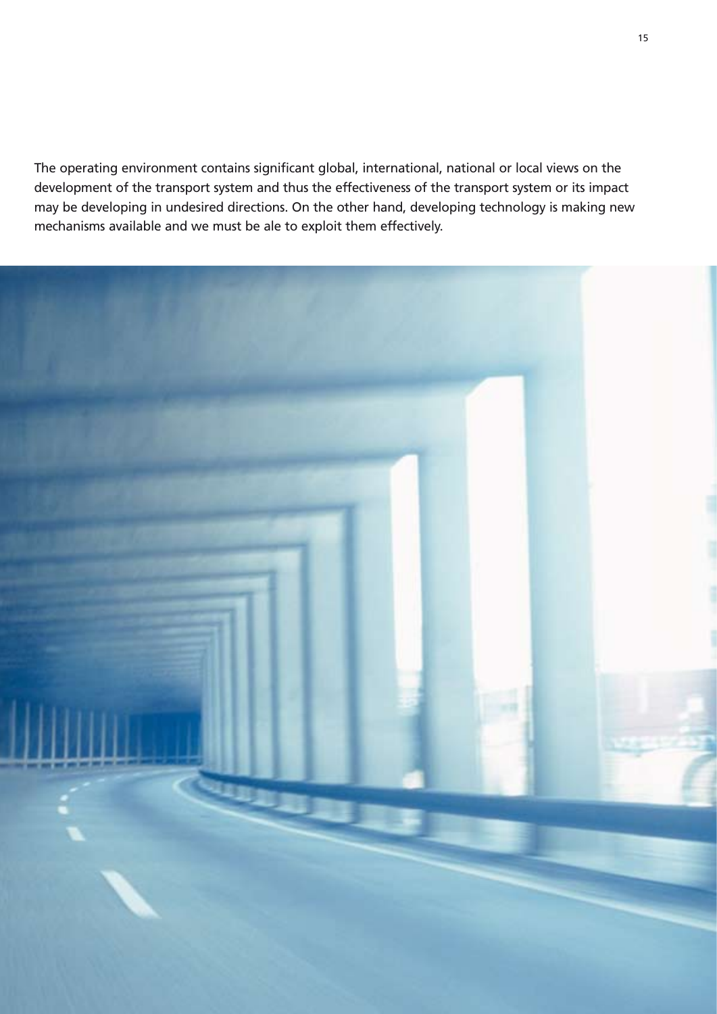The operating environment contains significant global, international, national or local views on the development of the transport system and thus the effectiveness of the transport system or its impact may be developing in undesired directions. On the other hand, developing technology is making new mechanisms available and we must be ale to exploit them effectively.

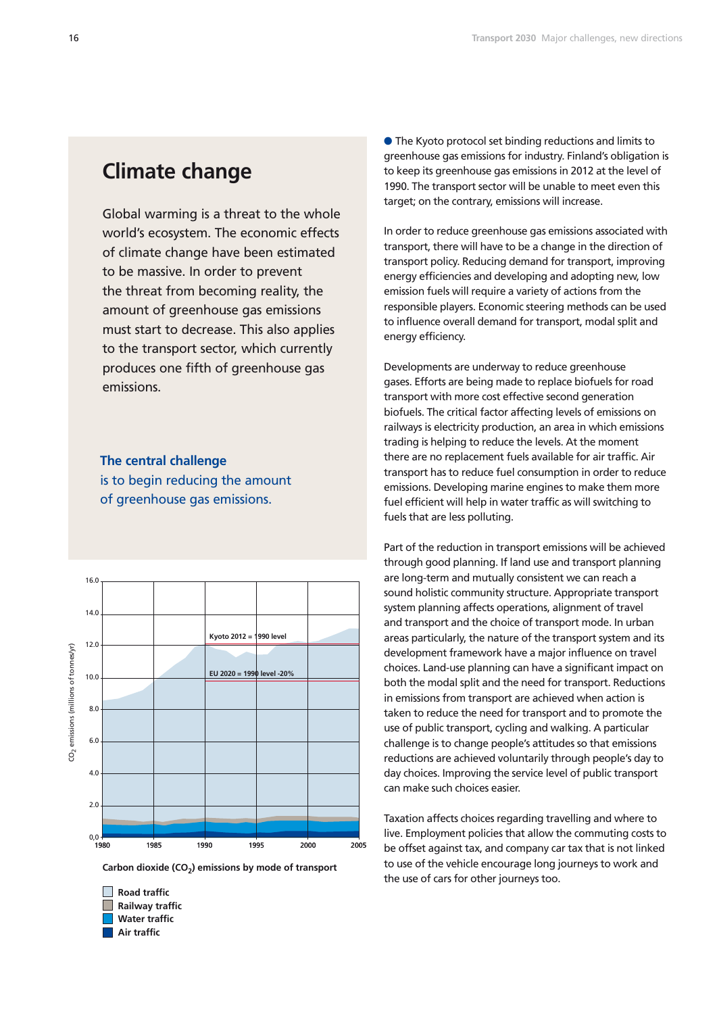# **Climate change**

Global warming is a threat to the whole world's ecosystem. The economic effects of climate change have been estimated to be massive. In order to prevent the threat from becoming reality, the amount of greenhouse gas emissions must start to decrease. This also applies to the transport sector, which currently produces one fifth of greenhouse gas emissions.

### **The central challenge**

is to begin reducing the amount of greenhouse gas emissions.



Carbon dioxide (CO<sub>2</sub>) emissions by mode of transport



● The Kyoto protocol set binding reductions and limits to greenhouse gas emissions for industry. Finland's obligation is to keep its greenhouse gas emissions in 2012 at the level of 1990. The transport sector will be unable to meet even this target; on the contrary, emissions will increase.

In order to reduce greenhouse gas emissions associated with transport, there will have to be a change in the direction of transport policy. Reducing demand for transport, improving energy efficiencies and developing and adopting new, low emission fuels will require a variety of actions from the responsible players. Economic steering methods can be used to influence overall demand for transport, modal split and energy efficiency.

Developments are underway to reduce greenhouse gases. Efforts are being made to replace biofuels for road transport with more cost effective second generation biofuels. The critical factor affecting levels of emissions on railways is electricity production, an area in which emissions trading is helping to reduce the levels. At the moment there are no replacement fuels available for air traffic. Air transport has to reduce fuel consumption in order to reduce emissions. Developing marine engines to make them more fuel efficient will help in water traffic as will switching to fuels that are less polluting.

Part of the reduction in transport emissions will be achieved through good planning. If land use and transport planning are long-term and mutually consistent we can reach a sound holistic community structure. Appropriate transport system planning affects operations, alignment of travel and transport and the choice of transport mode. In urban areas particularly, the nature of the transport system and its development framework have a major influence on travel choices. Land-use planning can have a significant impact on both the modal split and the need for transport. Reductions in emissions from transport are achieved when action is taken to reduce the need for transport and to promote the use of public transport, cycling and walking. A particular challenge is to change people's attitudes so that emissions reductions are achieved voluntarily through people's day to day choices. Improving the service level of public transport can make such choices easier.

Taxation affects choices regarding travelling and where to live. Employment policies that allow the commuting costs to be offset against tax, and company car tax that is not linked to use of the vehicle encourage long journeys to work and the use of cars for other journeys too.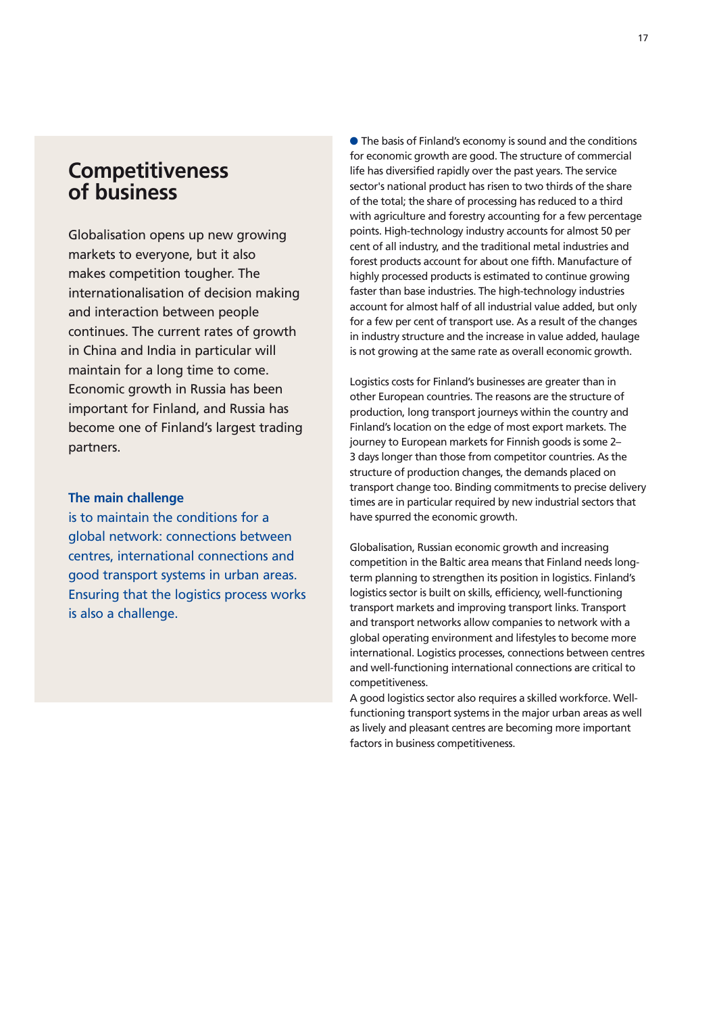# **Competitiveness of business**

Globalisation opens up new growing markets to everyone, but it also makes competition tougher. The internationalisation of decision making and interaction between people continues. The current rates of growth in China and India in particular will maintain for a long time to come. Economic growth in Russia has been important for Finland, and Russia has become one of Finland's largest trading partners.

### **The main challenge**

is to maintain the conditions for a global network: connections between centres, international connections and good transport systems in urban areas. Ensuring that the logistics process works is also a challenge.

● The basis of Finland's economy is sound and the conditions for economic growth are good. The structure of commercial life has diversified rapidly over the past years. The service sector's national product has risen to two thirds of the share of the total; the share of processing has reduced to a third with agriculture and forestry accounting for a few percentage points. High-technology industry accounts for almost 50 per cent of all industry, and the traditional metal industries and forest products account for about one fifth. Manufacture of highly processed products is estimated to continue growing faster than base industries. The high-technology industries account for almost half of all industrial value added, but only for a few per cent of transport use. As a result of the changes in industry structure and the increase in value added, haulage is not growing at the same rate as overall economic growth.

Logistics costs for Finland's businesses are greater than in other European countries. The reasons are the structure of production, long transport journeys within the country and Finland's location on the edge of most export markets. The journey to European markets for Finnish goods is some 2– 3 days longer than those from competitor countries. As the structure of production changes, the demands placed on transport change too. Binding commitments to precise delivery times are in particular required by new industrial sectors that have spurred the economic growth.

Globalisation, Russian economic growth and increasing competition in the Baltic area means that Finland needs longterm planning to strengthen its position in logistics. Finland's logistics sector is built on skills, efficiency, well-functioning transport markets and improving transport links. Transport and transport networks allow companies to network with a global operating environment and lifestyles to become more international. Logistics processes, connections between centres and well-functioning international connections are critical to competitiveness.

A good logistics sector also requires a skilled workforce. Wellfunctioning transport systems in the major urban areas as well as lively and pleasant centres are becoming more important factors in business competitiveness.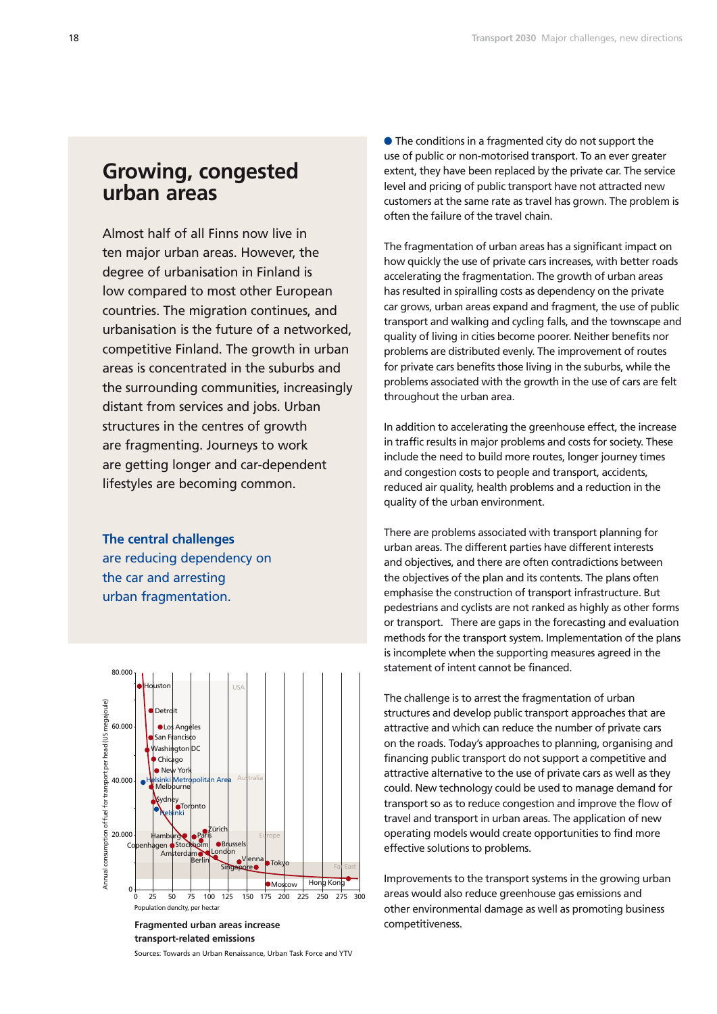# **Growing, congested urban areas**

Almost half of all Finns now live in ten major urban areas. However, the degree of urbanisation in Finland is low compared to most other European countries. The migration continues, and urbanisation is the future of a networked, competitive Finland. The growth in urban areas is concentrated in the suburbs and the surrounding communities, increasingly distant from services and jobs. Urban structures in the centres of growth are fragmenting. Journeys to work are getting longer and car-dependent lifestyles are becoming common.

**The central challenges**  are reducing dependency on the car and arresting urban fragmentation.



**Fragmented urban areas increase transport-related emissions**

Sources: Towards an Urban Renaissance, Urban Task Force and YTV

● The conditions in a fragmented city do not support the use of public or non-motorised transport. To an ever greater extent, they have been replaced by the private car. The service level and pricing of public transport have not attracted new customers at the same rate as travel has grown. The problem is often the failure of the travel chain.

The fragmentation of urban areas has a significant impact on how quickly the use of private cars increases, with better roads accelerating the fragmentation. The growth of urban areas has resulted in spiralling costs as dependency on the private car grows, urban areas expand and fragment, the use of public transport and walking and cycling falls, and the townscape and quality of living in cities become poorer. Neither benefits nor problems are distributed evenly. The improvement of routes for private cars benefits those living in the suburbs, while the problems associated with the growth in the use of cars are felt throughout the urban area.

In addition to accelerating the greenhouse effect, the increase in traffic results in major problems and costs for society. These include the need to build more routes, longer journey times and congestion costs to people and transport, accidents, reduced air quality, health problems and a reduction in the quality of the urban environment.

There are problems associated with transport planning for urban areas. The different parties have different interests and objectives, and there are often contradictions between the objectives of the plan and its contents. The plans often emphasise the construction of transport infrastructure. But pedestrians and cyclists are not ranked as highly as other forms or transport. There are gaps in the forecasting and evaluation methods for the transport system. Implementation of the plans is incomplete when the supporting measures agreed in the statement of intent cannot be financed.

The challenge is to arrest the fragmentation of urban structures and develop public transport approaches that are attractive and which can reduce the number of private cars on the roads. Today's approaches to planning, organising and financing public transport do not support a competitive and attractive alternative to the use of private cars as well as they could. New technology could be used to manage demand for transport so as to reduce congestion and improve the flow of travel and transport in urban areas. The application of new operating models would create opportunities to find more effective solutions to problems.

Improvements to the transport systems in the growing urban areas would also reduce greenhouse gas emissions and other environmental damage as well as promoting business competitiveness.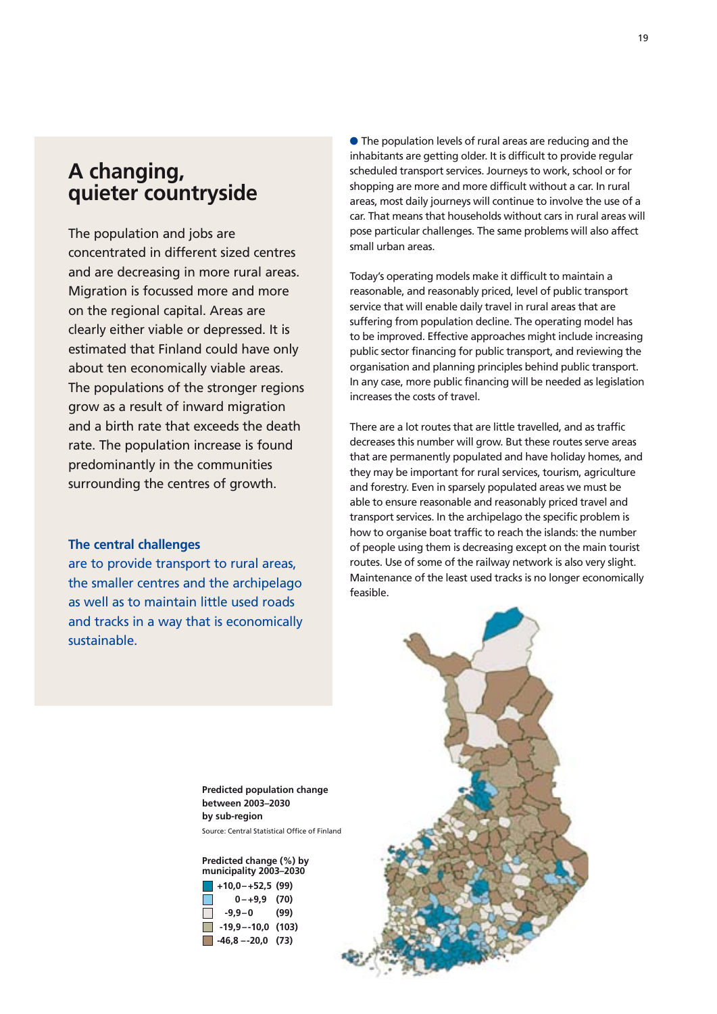# **A changing, quieter countryside**

The population and jobs are concentrated in different sized centres and are decreasing in more rural areas. Migration is focussed more and more on the regional capital. Areas are clearly either viable or depressed. It is estimated that Finland could have only about ten economically viable areas. The populations of the stronger regions grow as a result of inward migration and a birth rate that exceeds the death rate. The population increase is found predominantly in the communities surrounding the centres of growth.

### **The central challenges**

are to provide transport to rural areas, the smaller centres and the archipelago as well as to maintain little used roads and tracks in a way that is economically sustainable.

 The population levels of rural areas are reducing and the inhabitants are getting older. It is difficult to provide regular scheduled transport services. Journeys to work, school or for shopping are more and more difficult without a car. In rural areas, most daily journeys will continue to involve the use of a car. That means that households without cars in rural areas will pose particular challenges. The same problems will also affect small urban areas.

Today's operating models make it difficult to maintain a reasonable, and reasonably priced, level of public transport service that will enable daily travel in rural areas that are suffering from population decline. The operating model has to be improved. Effective approaches might include increasing public sector financing for public transport, and reviewing the organisation and planning principles behind public transport. In any case, more public financing will be needed as legislation increases the costs of travel.

There are a lot routes that are little travelled, and as traffic decreases this number will grow. But these routes serve areas that are permanently populated and have holiday homes, and they may be important for rural services, tourism, agriculture and forestry. Even in sparsely populated areas we must be able to ensure reasonable and reasonably priced travel and transport services. In the archipelago the specific problem is how to organise boat traffic to reach the islands: the number of people using them is decreasing except on the main tourist routes. Use of some of the railway network is also very slight. Maintenance of the least used tracks is no longer economically feasible.



**Predicted population change between 2003–2030 by sub-region**  Source: Central Statistical Office of Finland

### **Predicted change (%) by municipality 2003–2030**

|               | $\blacksquare$ +10,0-+52,5 (99)  |      |
|---------------|----------------------------------|------|
| I I           | $0 - +9.9$ (70)                  |      |
| <b>I</b> The  | $-9.9 - 0$<br><b>Contract</b>    | (99) |
| <b>The Co</b> | $-19,9 - -10,0$ (103)            |      |
|               | $\blacksquare$ -46,8 --20,0 (73) |      |
|               |                                  |      |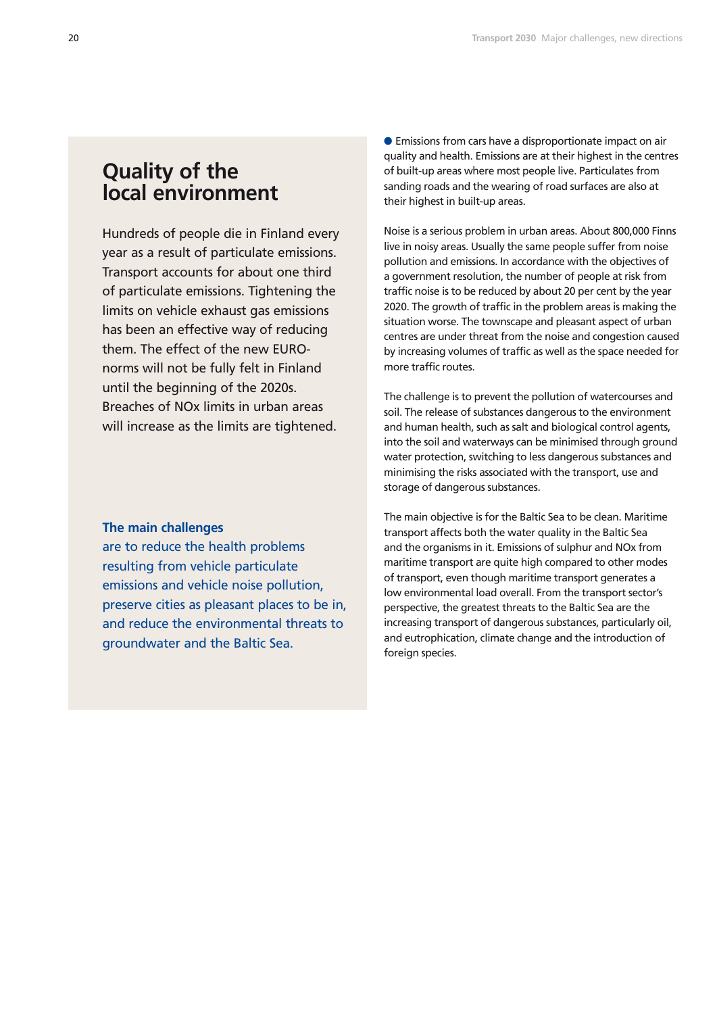# **Quality of the local environment**

Hundreds of people die in Finland every year as a result of particulate emissions. Transport accounts for about one third of particulate emissions. Tightening the limits on vehicle exhaust gas emissions has been an effective way of reducing them. The effect of the new EUROnorms will not be fully felt in Finland until the beginning of the 2020s. Breaches of NOx limits in urban areas will increase as the limits are tightened.

### **The main challenges**

are to reduce the health problems resulting from vehicle particulate emissions and vehicle noise pollution, preserve cities as pleasant places to be in, and reduce the environmental threats to groundwater and the Baltic Sea.

 Emissions from cars have a disproportionate impact on air quality and health. Emissions are at their highest in the centres of built-up areas where most people live. Particulates from sanding roads and the wearing of road surfaces are also at their highest in built-up areas.

Noise is a serious problem in urban areas. About 800,000 Finns live in noisy areas. Usually the same people suffer from noise pollution and emissions. In accordance with the objectives of a government resolution, the number of people at risk from traffic noise is to be reduced by about 20 per cent by the year 2020. The growth of traffic in the problem areas is making the situation worse. The townscape and pleasant aspect of urban centres are under threat from the noise and congestion caused by increasing volumes of traffic as well as the space needed for more traffic routes.

The challenge is to prevent the pollution of watercourses and soil. The release of substances dangerous to the environment and human health, such as salt and biological control agents, into the soil and waterways can be minimised through ground water protection, switching to less dangerous substances and minimising the risks associated with the transport, use and storage of dangerous substances.

The main objective is for the Baltic Sea to be clean. Maritime transport affects both the water quality in the Baltic Sea and the organisms in it. Emissions of sulphur and NOx from maritime transport are quite high compared to other modes of transport, even though maritime transport generates a low environmental load overall. From the transport sector's perspective, the greatest threats to the Baltic Sea are the increasing transport of dangerous substances, particularly oil, and eutrophication, climate change and the introduction of foreign species.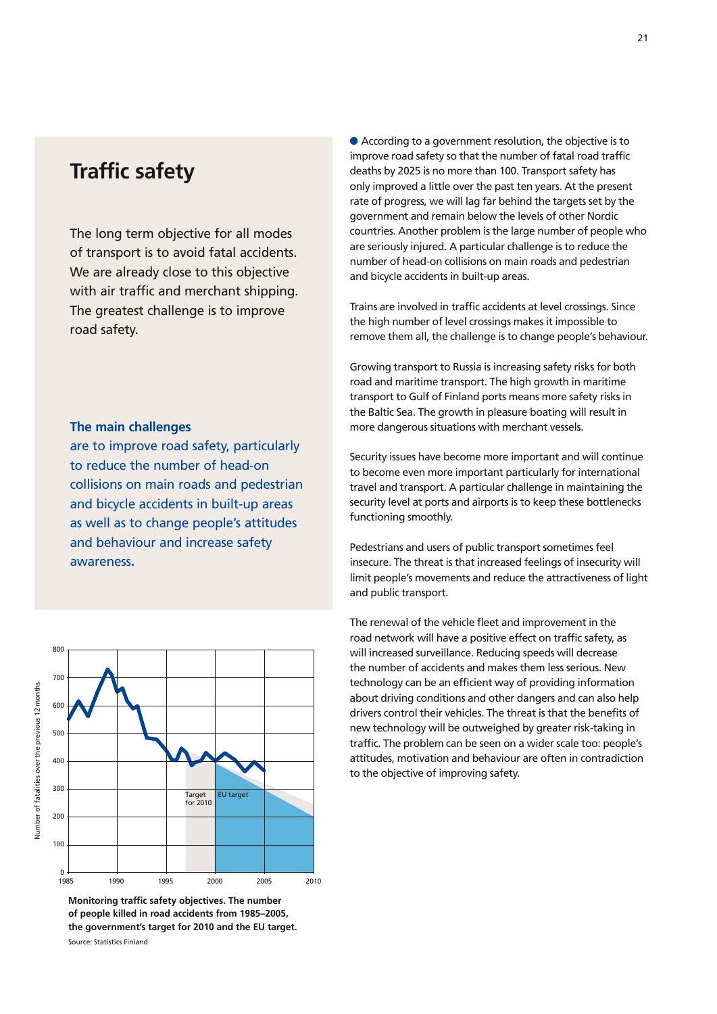# **Traffic safety**

The long term objective for all modes of transport is to avoid fatal accidents. We are already close to this objective with air traffic and merchant shipping. The greatest challenge is to improve road safety.

### **The main challenges**

are to improve road safety, particularly to reduce the number of head-on collisions on main roads and pedestrian and bicycle accidents in built-up areas as well as to change people's attitudes and behaviour and increase safety awareness**.**



**Monitoring traffic safety objectives. The number of people killed in road accidents from 1985–2005, the government's target for 2010 and the EU target.** Source: Statistics Finland

 According to a government resolution, the objective is to improve road safety so that the number of fatal road traffic deaths by 2025 is no more than 100. Transport safety has only improved a little over the past ten years. At the present rate of progress, we will lag far behind the targets set by the government and remain below the levels of other Nordic countries. Another problem is the large number of people who are seriously injured. A particular challenge is to reduce the number of head-on collisions on main roads and pedestrian and bicycle accidents in built-up areas.

Trains are involved in traffic accidents at level crossings. Since the high number of level crossings makes it impossible to remove them all, the challenge is to change people's behaviour.

Growing transport to Russia is increasing safety risks for both road and maritime transport. The high growth in maritime transport to Gulf of Finland ports means more safety risks in the Baltic Sea. The growth in pleasure boating will result in more dangerous situations with merchant vessels.

Security issues have become more important and will continue to become even more important particularly for international travel and transport. A particular challenge in maintaining the security level at ports and airports is to keep these bottlenecks functioning smoothly.

Pedestrians and users of public transport sometimes feel insecure. The threat is that increased feelings of insecurity will limit people's movements and reduce the attractiveness of light and public transport.

The renewal of the vehicle fleet and improvement in the road network will have a positive effect on traffic safety, as will increased surveillance. Reducing speeds will decrease the number of accidents and makes them less serious. New technology can be an efficient way of providing information about driving conditions and other dangers and can also help drivers control their vehicles. The threat is that the benefits of new technology will be outweighed by greater risk-taking in traffic. The problem can be seen on a wider scale too: people's attitudes, motivation and behaviour are often in contradiction to the objective of improving safety.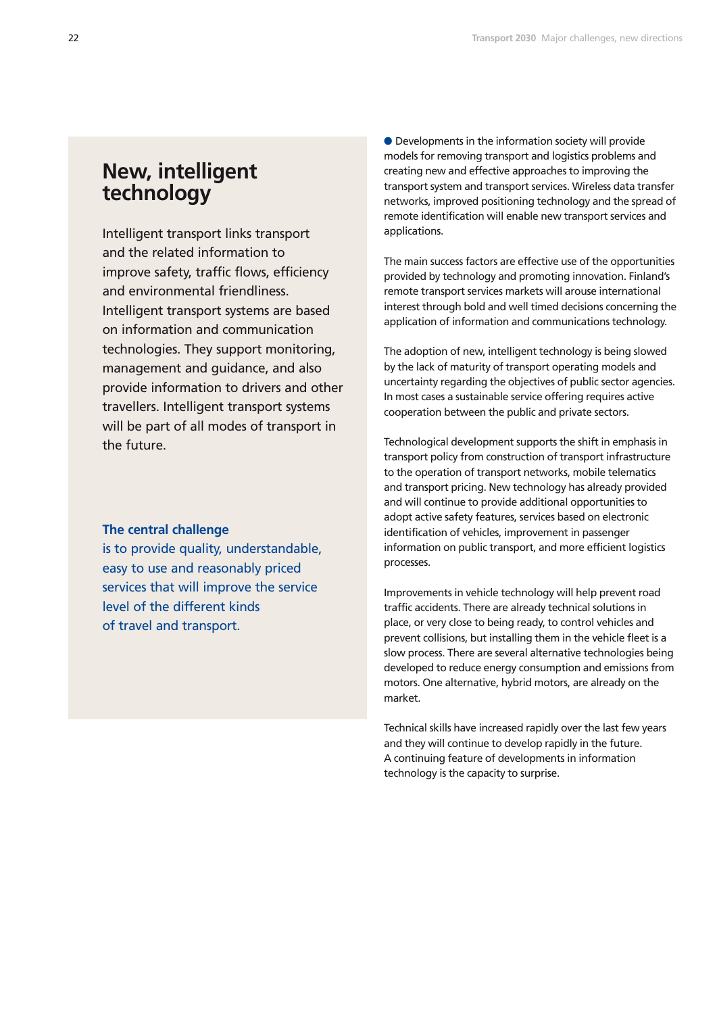# **New, intelligent technology**

Intelligent transport links transport and the related information to improve safety, traffic flows, efficiency and environmental friendliness. Intelligent transport systems are based on information and communication technologies. They support monitoring, management and guidance, and also provide information to drivers and other travellers. Intelligent transport systems will be part of all modes of transport in the future.

### **The central challenge**

is to provide quality, understandable, easy to use and reasonably priced services that will improve the service level of the different kinds of travel and transport.

● Developments in the information society will provide models for removing transport and logistics problems and creating new and effective approaches to improving the transport system and transport services. Wireless data transfer networks, improved positioning technology and the spread of remote identification will enable new transport services and applications.

The main success factors are effective use of the opportunities provided by technology and promoting innovation. Finland's remote transport services markets will arouse international interest through bold and well timed decisions concerning the application of information and communications technology.

The adoption of new, intelligent technology is being slowed by the lack of maturity of transport operating models and uncertainty regarding the objectives of public sector agencies. In most cases a sustainable service offering requires active cooperation between the public and private sectors.

Technological development supports the shift in emphasis in transport policy from construction of transport infrastructure to the operation of transport networks, mobile telematics and transport pricing. New technology has already provided and will continue to provide additional opportunities to adopt active safety features, services based on electronic identification of vehicles, improvement in passenger information on public transport, and more efficient logistics processes.

Improvements in vehicle technology will help prevent road traffic accidents. There are already technical solutions in place, or very close to being ready, to control vehicles and prevent collisions, but installing them in the vehicle fleet is a slow process. There are several alternative technologies being developed to reduce energy consumption and emissions from motors. One alternative, hybrid motors, are already on the market.

Technical skills have increased rapidly over the last few years and they will continue to develop rapidly in the future. A continuing feature of developments in information technology is the capacity to surprise.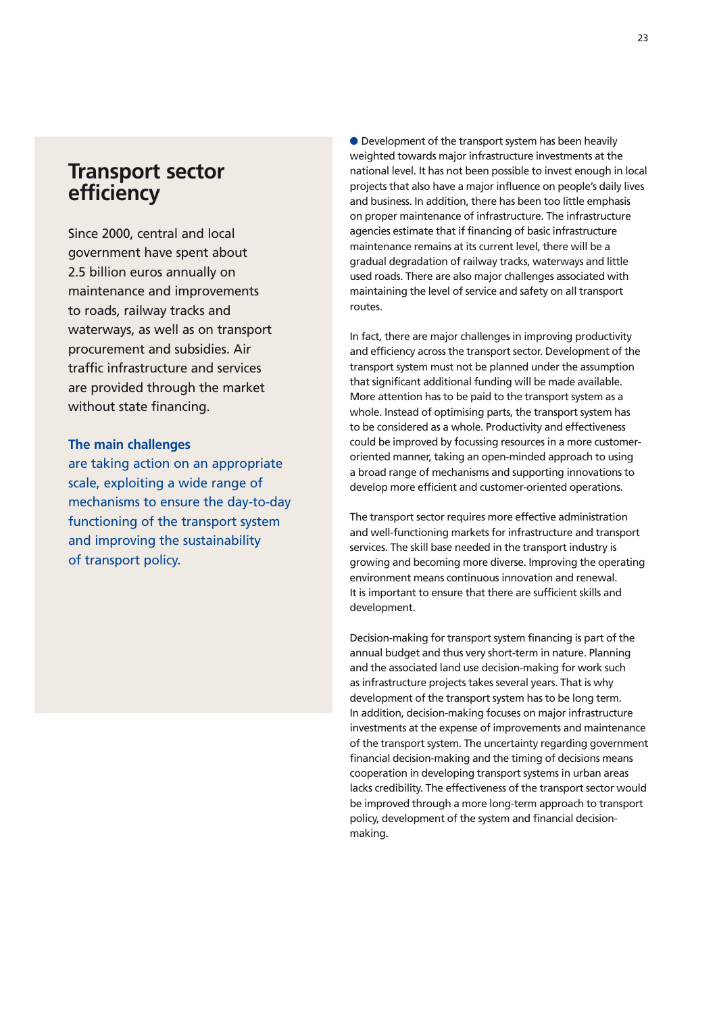# **Transport sector efficiency**

Since 2000, central and local government have spent about 2.5 billion euros annually on maintenance and improvements to roads, railway tracks and waterways, as well as on transport procurement and subsidies. Air traffic infrastructure and services are provided through the market without state financing.

### **The main challenges**

are taking action on an appropriate scale, exploiting a wide range of mechanisms to ensure the day-to-day functioning of the transport system and improving the sustainability of transport policy.

● Development of the transport system has been heavily weighted towards major infrastructure investments at the national level. It has not been possible to invest enough in local projects that also have a major influence on people's daily lives and business. In addition, there has been too little emphasis on proper maintenance of infrastructure. The infrastructure agencies estimate that if financing of basic infrastructure maintenance remains at its current level, there will be a gradual degradation of railway tracks, waterways and little used roads. There are also major challenges associated with maintaining the level of service and safety on all transport routes.

In fact, there are major challenges in improving productivity and efficiency across the transport sector. Development of the transport system must not be planned under the assumption that significant additional funding will be made available. More attention has to be paid to the transport system as a whole. Instead of optimising parts, the transport system has to be considered as a whole. Productivity and effectiveness could be improved by focussing resources in a more customeroriented manner, taking an open-minded approach to using a broad range of mechanisms and supporting innovations to develop more efficient and customer-oriented operations.

The transport sector requires more effective administration and well-functioning markets for infrastructure and transport services. The skill base needed in the transport industry is growing and becoming more diverse. Improving the operating environment means continuous innovation and renewal. It is important to ensure that there are sufficient skills and development.

Decision-making for transport system financing is part of the annual budget and thus very short-term in nature. Planning and the associated land use decision-making for work such as infrastructure projects takes several years. That is why development of the transport system has to be long term. In addition, decision-making focuses on major infrastructure investments at the expense of improvements and maintenance of the transport system. The uncertainty regarding government financial decision-making and the timing of decisions means cooperation in developing transport systems in urban areas lacks credibility. The effectiveness of the transport sector would be improved through a more long-term approach to transport policy, development of the system and financial decisionmaking.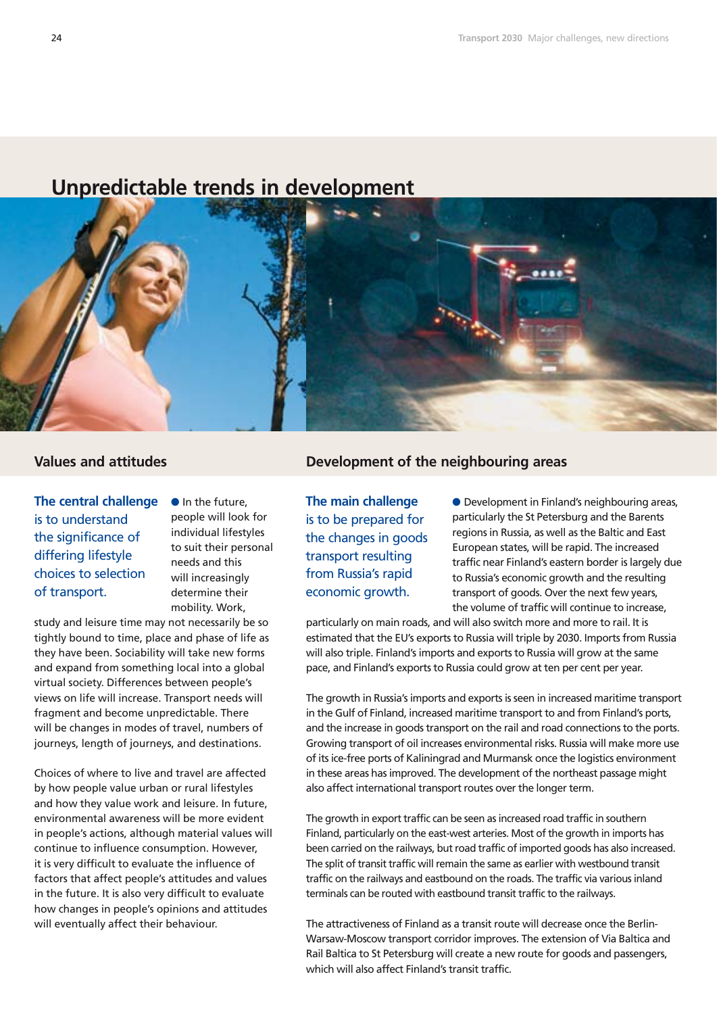# **Unpredictable trends in development**



**The central challenge** is to understand the significance of differing lifestyle choices to selection of transport.

 $\bullet$  In the future, people will look for individual lifestyles to suit their personal needs and this will increasingly determine their mobility. Work,

study and leisure time may not necessarily be so tightly bound to time, place and phase of life as they have been. Sociability will take new forms and expand from something local into a global virtual society. Differences between people's views on life will increase. Transport needs will fragment and become unpredictable. There will be changes in modes of travel, numbers of journeys, length of journeys, and destinations.

Choices of where to live and travel are affected by how people value urban or rural lifestyles and how they value work and leisure. In future, environmental awareness will be more evident in people's actions, although material values will continue to influence consumption. However, it is very difficult to evaluate the influence of factors that affect people's attitudes and values in the future. It is also very difficult to evaluate how changes in people's opinions and attitudes will eventually affect their behaviour.

# **Values and attitudes Development of the neighbouring areas**

**The main challenge**  is to be prepared for the changes in goods transport resulting from Russia's rapid economic growth.

 Development in Finland's neighbouring areas, particularly the St Petersburg and the Barents regions in Russia, as well as the Baltic and East European states, will be rapid. The increased traffic near Finland's eastern border is largely due to Russia's economic growth and the resulting transport of goods. Over the next few years, the volume of traffic will continue to increase,

particularly on main roads, and will also switch more and more to rail. It is estimated that the EU's exports to Russia will triple by 2030. Imports from Russia will also triple. Finland's imports and exports to Russia will grow at the same pace, and Finland's exports to Russia could grow at ten per cent per year.

The growth in Russia's imports and exports is seen in increased maritime transport in the Gulf of Finland, increased maritime transport to and from Finland's ports, and the increase in goods transport on the rail and road connections to the ports. Growing transport of oil increases environmental risks. Russia will make more use of its ice-free ports of Kaliningrad and Murmansk once the logistics environment in these areas has improved. The development of the northeast passage might also affect international transport routes over the longer term.

The growth in export traffic can be seen as increased road traffic in southern Finland, particularly on the east-west arteries. Most of the growth in imports has been carried on the railways, but road traffic of imported goods has also increased. The split of transit traffic will remain the same as earlier with westbound transit traffic on the railways and eastbound on the roads. The traffic via various inland terminals can be routed with eastbound transit traffic to the railways.

The attractiveness of Finland as a transit route will decrease once the Berlin-Warsaw-Moscow transport corridor improves. The extension of Via Baltica and Rail Baltica to St Petersburg will create a new route for goods and passengers, which will also affect Finland's transit traffic.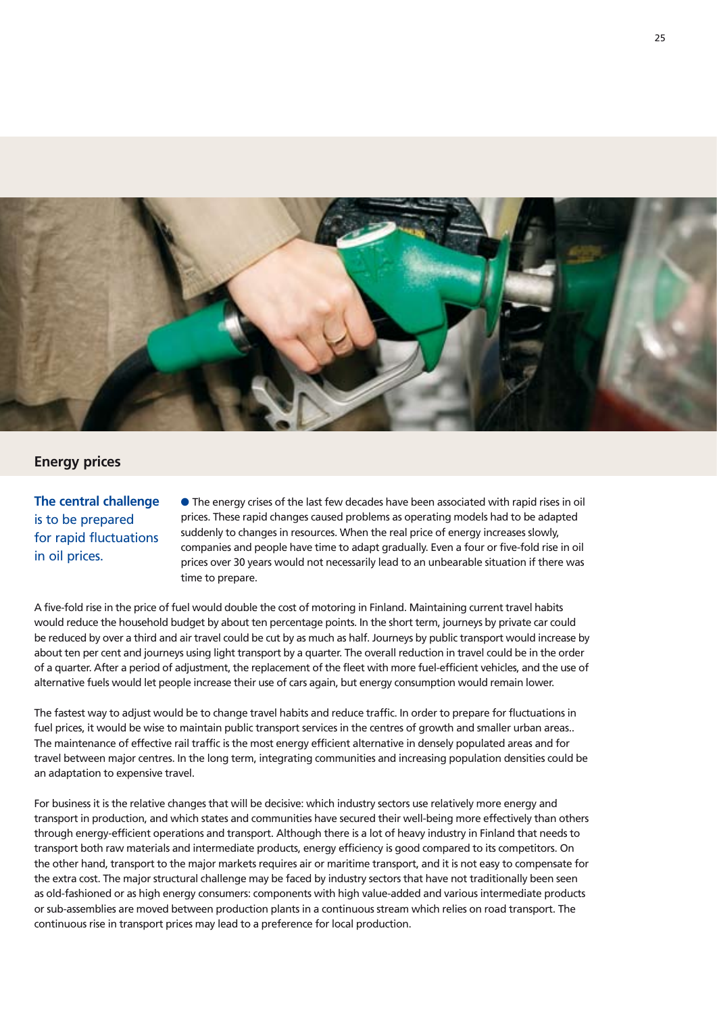

# **Energy prices**

# **The central challenge**  is to be prepared for rapid fluctuations in oil prices.

 The energy crises of the last few decades have been associated with rapid rises in oil prices. These rapid changes caused problems as operating models had to be adapted suddenly to changes in resources. When the real price of energy increases slowly, companies and people have time to adapt gradually. Even a four or five-fold rise in oil prices over 30 years would not necessarily lead to an unbearable situation if there was time to prepare.

A five-fold rise in the price of fuel would double the cost of motoring in Finland. Maintaining current travel habits would reduce the household budget by about ten percentage points. In the short term, journeys by private car could be reduced by over a third and air travel could be cut by as much as half. Journeys by public transport would increase by about ten per cent and journeys using light transport by a quarter. The overall reduction in travel could be in the order of a quarter. After a period of adjustment, the replacement of the fleet with more fuel-efficient vehicles, and the use of alternative fuels would let people increase their use of cars again, but energy consumption would remain lower.

The fastest way to adjust would be to change travel habits and reduce traffic. In order to prepare for fluctuations in fuel prices, it would be wise to maintain public transport services in the centres of growth and smaller urban areas.. The maintenance of effective rail traffic is the most energy efficient alternative in densely populated areas and for travel between major centres. In the long term, integrating communities and increasing population densities could be an adaptation to expensive travel.

For business it is the relative changes that will be decisive: which industry sectors use relatively more energy and transport in production, and which states and communities have secured their well-being more effectively than others through energy-efficient operations and transport. Although there is a lot of heavy industry in Finland that needs to transport both raw materials and intermediate products, energy efficiency is good compared to its competitors. On the other hand, transport to the major markets requires air or maritime transport, and it is not easy to compensate for the extra cost. The major structural challenge may be faced by industry sectors that have not traditionally been seen as old-fashioned or as high energy consumers: components with high value-added and various intermediate products or sub-assemblies are moved between production plants in a continuous stream which relies on road transport. The continuous rise in transport prices may lead to a preference for local production.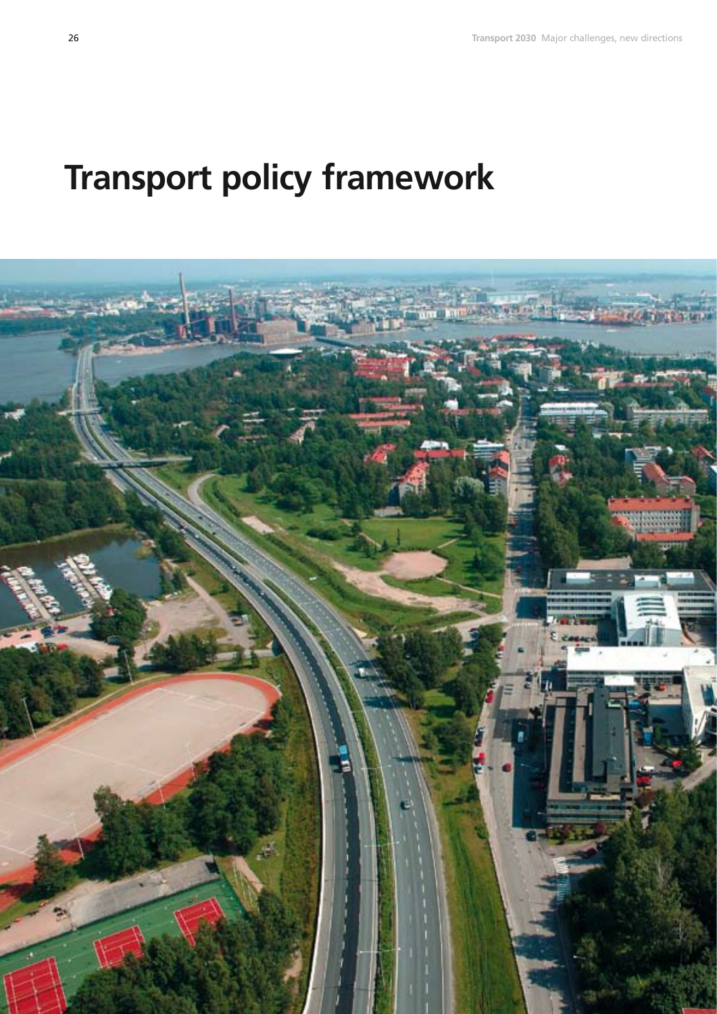# **Transport policy framework**

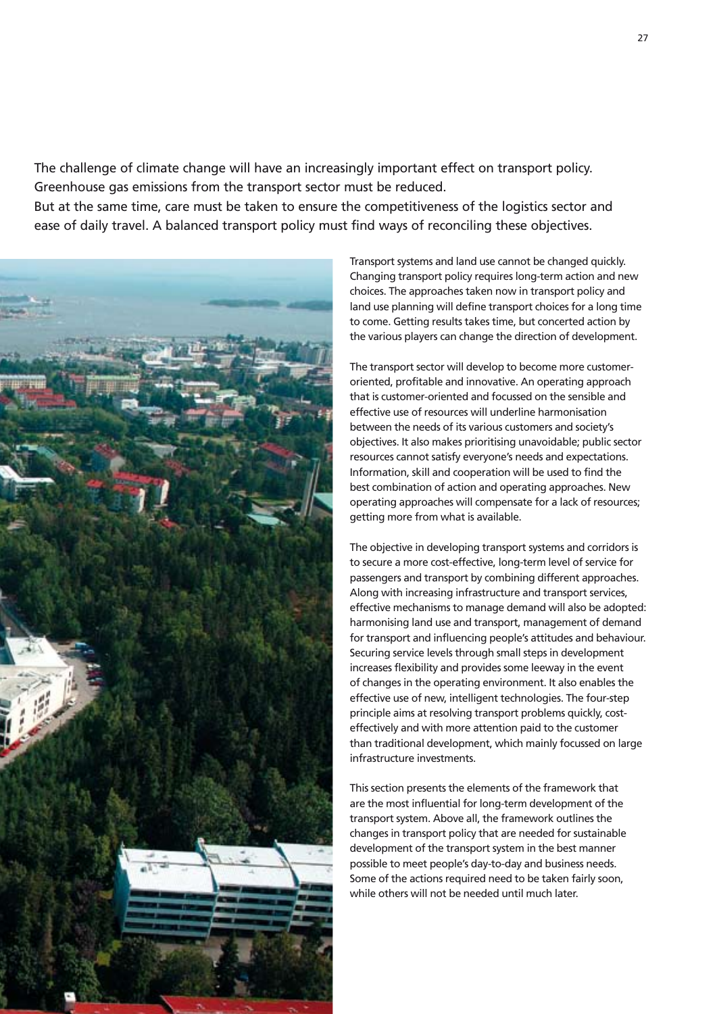The challenge of climate change will have an increasingly important effect on transport policy. Greenhouse gas emissions from the transport sector must be reduced.

But at the same time, care must be taken to ensure the competitiveness of the logistics sector and ease of daily travel. A balanced transport policy must find ways of reconciling these objectives.



Transport systems and land use cannot be changed quickly. Changing transport policy requires long-term action and new choices. The approaches taken now in transport policy and land use planning will define transport choices for a long time to come. Getting results takes time, but concerted action by the various players can change the direction of development.

The transport sector will develop to become more customeroriented, profitable and innovative. An operating approach that is customer-oriented and focussed on the sensible and effective use of resources will underline harmonisation between the needs of its various customers and society's objectives. It also makes prioritising unavoidable; public sector resources cannot satisfy everyone's needs and expectations. Information, skill and cooperation will be used to find the best combination of action and operating approaches. New operating approaches will compensate for a lack of resources; getting more from what is available.

The objective in developing transport systems and corridors is to secure a more cost-effective, long-term level of service for passengers and transport by combining different approaches. Along with increasing infrastructure and transport services, effective mechanisms to manage demand will also be adopted: harmonising land use and transport, management of demand for transport and influencing people's attitudes and behaviour. Securing service levels through small steps in development increases flexibility and provides some leeway in the event of changes in the operating environment. It also enables the effective use of new, intelligent technologies. The four-step principle aims at resolving transport problems quickly, costeffectively and with more attention paid to the customer than traditional development, which mainly focussed on large infrastructure investments.

This section presents the elements of the framework that are the most influential for long-term development of the transport system. Above all, the framework outlines the changes in transport policy that are needed for sustainable development of the transport system in the best manner possible to meet people's day-to-day and business needs. Some of the actions required need to be taken fairly soon, while others will not be needed until much later.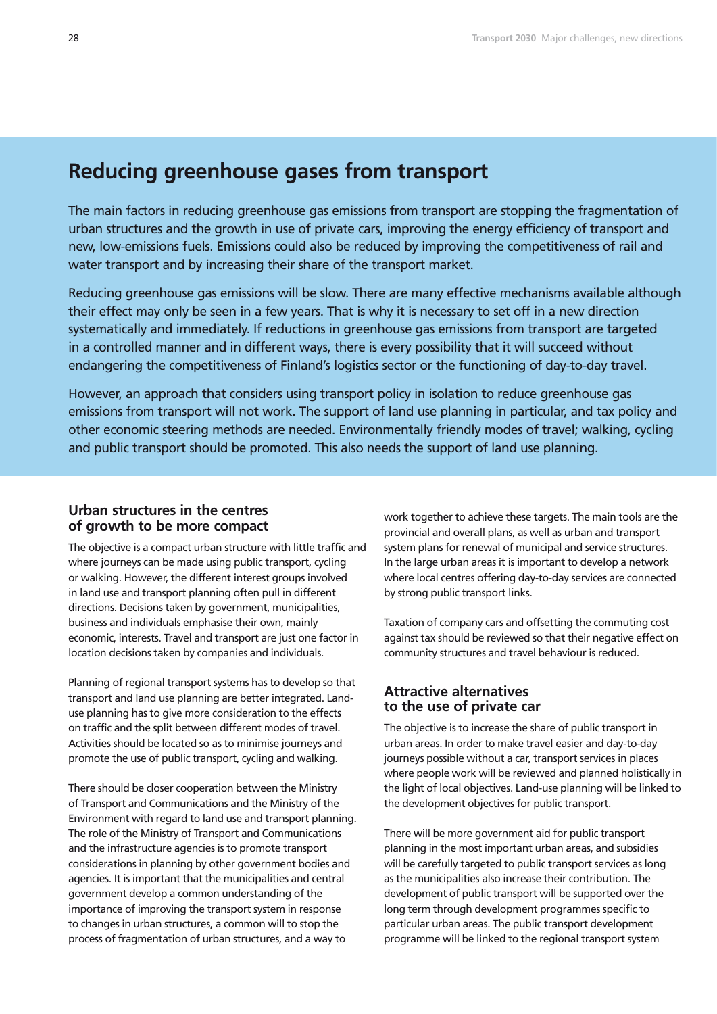# **Reducing greenhouse gases from transport**

The main factors in reducing greenhouse gas emissions from transport are stopping the fragmentation of urban structures and the growth in use of private cars, improving the energy efficiency of transport and new, low-emissions fuels. Emissions could also be reduced by improving the competitiveness of rail and water transport and by increasing their share of the transport market.

Reducing greenhouse gas emissions will be slow. There are many effective mechanisms available although their effect may only be seen in a few years. That is why it is necessary to set off in a new direction systematically and immediately. If reductions in greenhouse gas emissions from transport are targeted in a controlled manner and in different ways, there is every possibility that it will succeed without endangering the competitiveness of Finland's logistics sector or the functioning of day-to-day travel.

However, an approach that considers using transport policy in isolation to reduce greenhouse gas emissions from transport will not work. The support of land use planning in particular, and tax policy and other economic steering methods are needed. Environmentally friendly modes of travel; walking, cycling and public transport should be promoted. This also needs the support of land use planning.

### **Urban structures in the centres of growth to be more compact**

The objective is a compact urban structure with little traffic and where journeys can be made using public transport, cycling or walking. However, the different interest groups involved in land use and transport planning often pull in different directions. Decisions taken by government, municipalities, business and individuals emphasise their own, mainly economic, interests. Travel and transport are just one factor in location decisions taken by companies and individuals.

Planning of regional transport systems has to develop so that transport and land use planning are better integrated. Landuse planning has to give more consideration to the effects on traffic and the split between different modes of travel. Activities should be located so as to minimise journeys and promote the use of public transport, cycling and walking.

There should be closer cooperation between the Ministry of Transport and Communications and the Ministry of the Environment with regard to land use and transport planning. The role of the Ministry of Transport and Communications and the infrastructure agencies is to promote transport considerations in planning by other government bodies and agencies. It is important that the municipalities and central government develop a common understanding of the importance of improving the transport system in response to changes in urban structures, a common will to stop the process of fragmentation of urban structures, and a way to

work together to achieve these targets. The main tools are the provincial and overall plans, as well as urban and transport system plans for renewal of municipal and service structures. In the large urban areas it is important to develop a network where local centres offering day-to-day services are connected by strong public transport links.

Taxation of company cars and offsetting the commuting cost against tax should be reviewed so that their negative effect on community structures and travel behaviour is reduced.

# **Attractive alternatives to the use of private car**

The objective is to increase the share of public transport in urban areas. In order to make travel easier and day-to-day journeys possible without a car, transport services in places where people work will be reviewed and planned holistically in the light of local objectives. Land-use planning will be linked to the development objectives for public transport.

There will be more government aid for public transport planning in the most important urban areas, and subsidies will be carefully targeted to public transport services as long as the municipalities also increase their contribution. The development of public transport will be supported over the long term through development programmes specific to particular urban areas. The public transport development programme will be linked to the regional transport system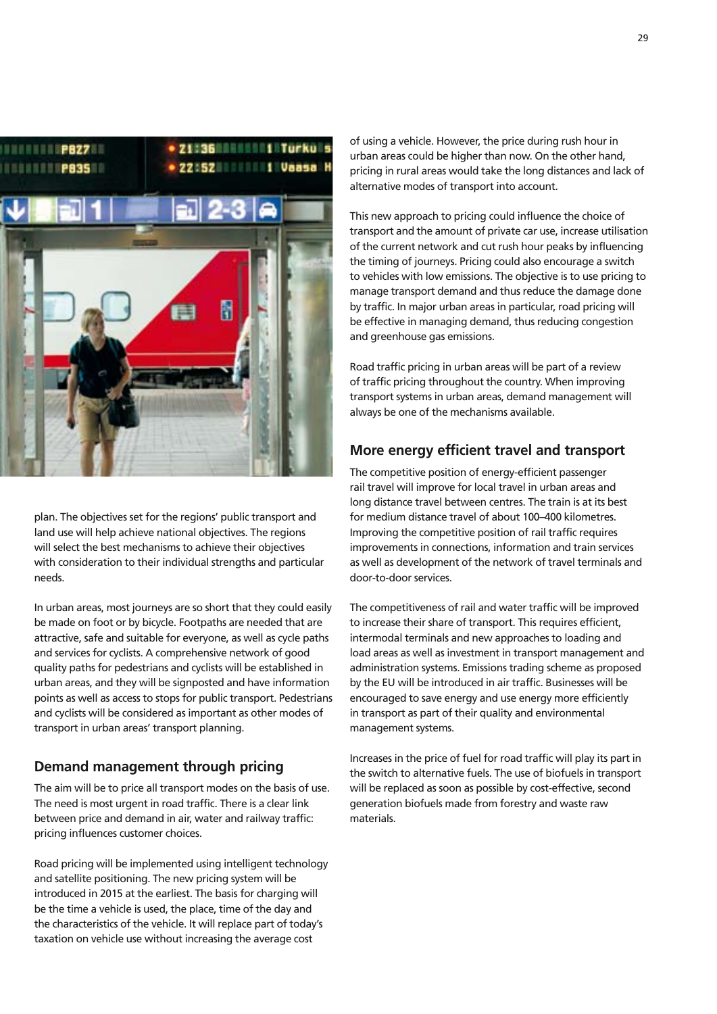

plan. The objectives set for the regions' public transport and land use will help achieve national objectives. The regions will select the best mechanisms to achieve their objectives with consideration to their individual strengths and particular needs.

In urban areas, most journeys are so short that they could easily be made on foot or by bicycle. Footpaths are needed that are attractive, safe and suitable for everyone, as well as cycle paths and services for cyclists. A comprehensive network of good quality paths for pedestrians and cyclists will be established in urban areas, and they will be signposted and have information points as well as access to stops for public transport. Pedestrians and cyclists will be considered as important as other modes of transport in urban areas' transport planning.

### **Demand management through pricing**

The aim will be to price all transport modes on the basis of use. The need is most urgent in road traffic. There is a clear link between price and demand in air, water and railway traffic: pricing influences customer choices.

Road pricing will be implemented using intelligent technology and satellite positioning. The new pricing system will be introduced in 2015 at the earliest. The basis for charging will be the time a vehicle is used, the place, time of the day and the characteristics of the vehicle. It will replace part of today's taxation on vehicle use without increasing the average cost

of using a vehicle. However, the price during rush hour in urban areas could be higher than now. On the other hand, pricing in rural areas would take the long distances and lack of alternative modes of transport into account.

This new approach to pricing could influence the choice of transport and the amount of private car use, increase utilisation of the current network and cut rush hour peaks by influencing the timing of journeys. Pricing could also encourage a switch to vehicles with low emissions. The objective is to use pricing to manage transport demand and thus reduce the damage done by traffic. In major urban areas in particular, road pricing will be effective in managing demand, thus reducing congestion and greenhouse gas emissions.

Road traffic pricing in urban areas will be part of a review of traffic pricing throughout the country. When improving transport systems in urban areas, demand management will always be one of the mechanisms available.

## **More energy efficient travel and transport**

The competitive position of energy-efficient passenger rail travel will improve for local travel in urban areas and long distance travel between centres. The train is at its best for medium distance travel of about 100–400 kilometres. Improving the competitive position of rail traffic requires improvements in connections, information and train services as well as development of the network of travel terminals and door-to-door services.

The competitiveness of rail and water traffic will be improved to increase their share of transport. This requires efficient, intermodal terminals and new approaches to loading and load areas as well as investment in transport management and administration systems. Emissions trading scheme as proposed by the EU will be introduced in air traffic. Businesses will be encouraged to save energy and use energy more efficiently in transport as part of their quality and environmental management systems.

Increases in the price of fuel for road traffic will play its part in the switch to alternative fuels. The use of biofuels in transport will be replaced as soon as possible by cost-effective, second generation biofuels made from forestry and waste raw materials.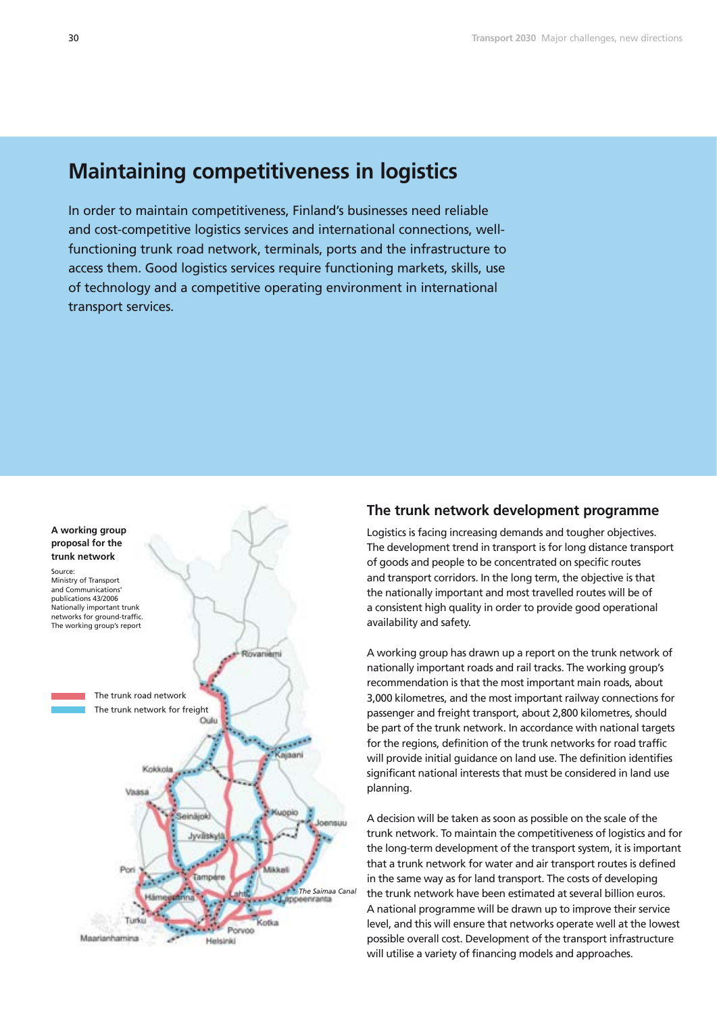# **Maintaining competitiveness in logistics**

In order to maintain competitiveness, Finland's businesses need reliable and cost-competitive logistics services and international connections, wellfunctioning trunk road network, terminals, ports and the infrastructure to access them. Good logistics services require functioning markets, skills, use of technology and a competitive operating environment in international transport services.



### **The trunk network development programme**

Logistics is facing increasing demands and tougher objectives. The development trend in transport is for long distance transport of goods and people to be concentrated on specific routes and transport corridors. In the long term, the objective is that the nationally important and most travelled routes will be of a consistent high quality in order to provide good operational availability and safety.

A working group has drawn up a report on the trunk network of nationally important roads and rail tracks. The working group's recommendation is that the most important main roads, about 3,000 kilometres, and the most important railway connections for passenger and freight transport, about 2,800 kilometres, should be part of the trunk network. In accordance with national targets for the regions, definition of the trunk networks for road traffic will provide initial guidance on land use. The definition identifies significant national interests that must be considered in land use planning.

A decision will be taken as soon as possible on the scale of the trunk network. To maintain the competitiveness of logistics and for the long-term development of the transport system, it is important that a trunk network for water and air transport routes is defined in the same way as for land transport. The costs of developing the trunk network have been estimated at several billion euros. A national programme will be drawn up to improve their service level, and this will ensure that networks operate well at the lowest possible overall cost. Development of the transport infrastructure will utilise a variety of financing models and approaches.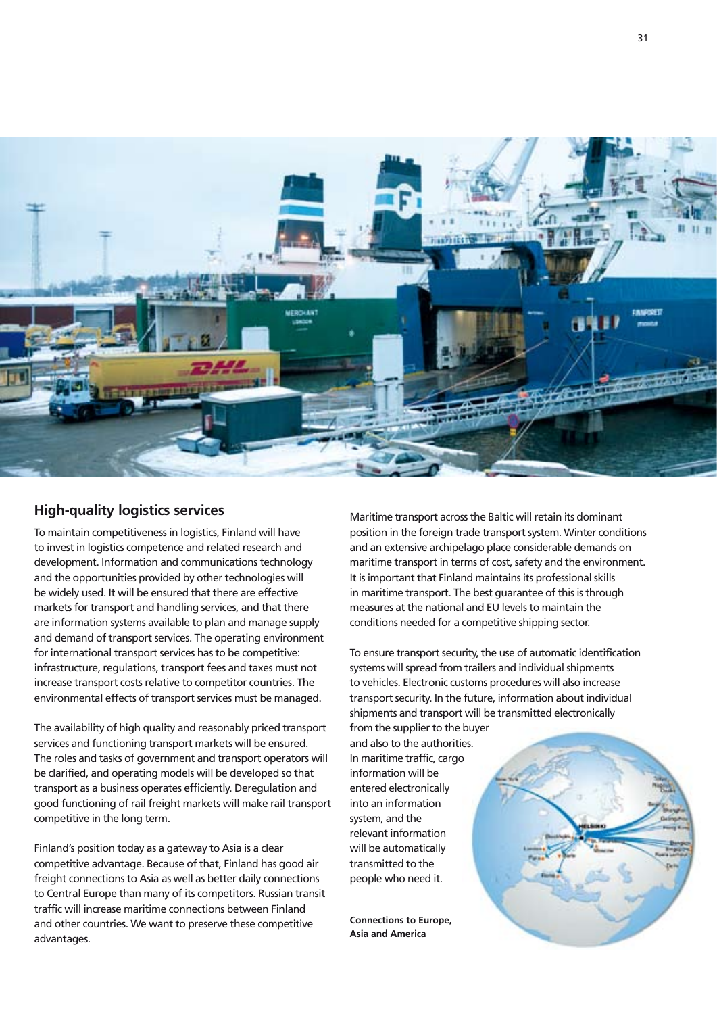

# **High-quality logistics services**

To maintain competitiveness in logistics, Finland will have to invest in logistics competence and related research and development. Information and communications technology and the opportunities provided by other technologies will be widely used. It will be ensured that there are effective markets for transport and handling services, and that there are information systems available to plan and manage supply and demand of transport services. The operating environment for international transport services has to be competitive: infrastructure, regulations, transport fees and taxes must not increase transport costs relative to competitor countries. The environmental effects of transport services must be managed.

The availability of high quality and reasonably priced transport services and functioning transport markets will be ensured. The roles and tasks of government and transport operators will be clarified, and operating models will be developed so that transport as a business operates efficiently. Deregulation and good functioning of rail freight markets will make rail transport competitive in the long term.

Finland's position today as a gateway to Asia is a clear competitive advantage. Because of that, Finland has good air freight connections to Asia as well as better daily connections to Central Europe than many of its competitors. Russian transit traffic will increase maritime connections between Finland and other countries. We want to preserve these competitive advantages.

Maritime transport across the Baltic will retain its dominant position in the foreign trade transport system. Winter conditions and an extensive archipelago place considerable demands on maritime transport in terms of cost, safety and the environment. It is important that Finland maintains its professional skills in maritime transport. The best guarantee of this is through measures at the national and EU levels to maintain the conditions needed for a competitive shipping sector.

To ensure transport security, the use of automatic identification systems will spread from trailers and individual shipments to vehicles. Electronic customs procedures will also increase transport security. In the future, information about individual shipments and transport will be transmitted electronically

from the supplier to the buyer and also to the authorities. In maritime traffic, cargo information will be entered electronically into an information system, and the relevant information will be automatically transmitted to the people who need it.

**Connections to Europe, Asia and America**

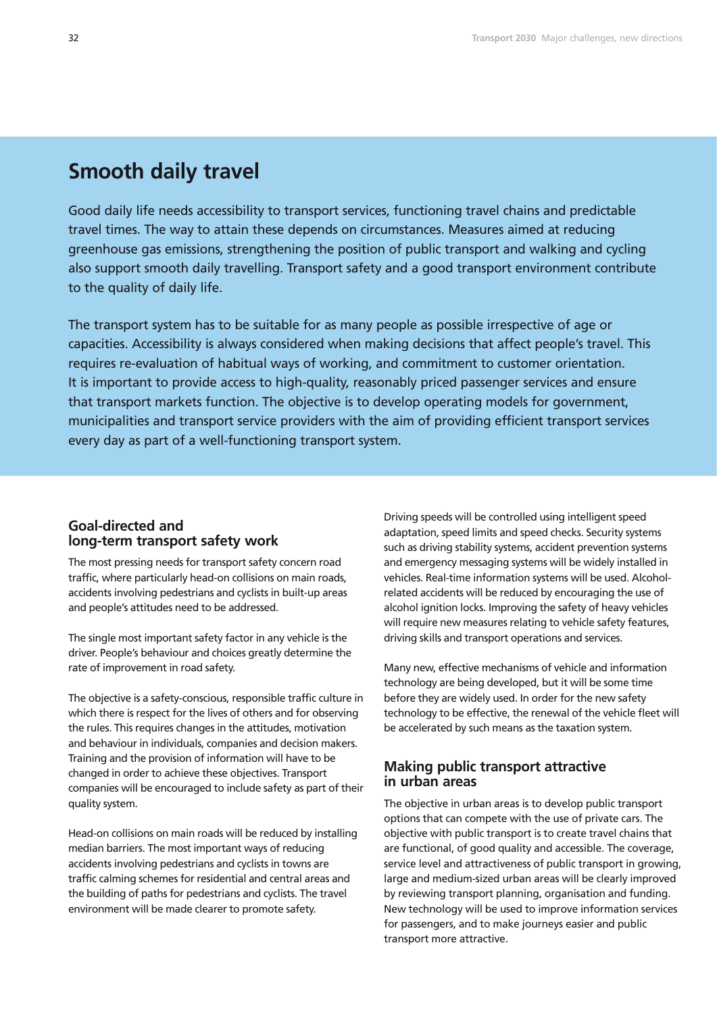# **Smooth daily travel**

Good daily life needs accessibility to transport services, functioning travel chains and predictable travel times. The way to attain these depends on circumstances. Measures aimed at reducing greenhouse gas emissions, strengthening the position of public transport and walking and cycling also support smooth daily travelling. Transport safety and a good transport environment contribute to the quality of daily life.

The transport system has to be suitable for as many people as possible irrespective of age or capacities. Accessibility is always considered when making decisions that affect people's travel. This requires re-evaluation of habitual ways of working, and commitment to customer orientation. It is important to provide access to high-quality, reasonably priced passenger services and ensure that transport markets function. The objective is to develop operating models for government, municipalities and transport service providers with the aim of providing efficient transport services every day as part of a well-functioning transport system.

# **Goal-directed and long-term transport safety work**

The most pressing needs for transport safety concern road traffic, where particularly head-on collisions on main roads, accidents involving pedestrians and cyclists in built-up areas and people's attitudes need to be addressed.

The single most important safety factor in any vehicle is the driver. People's behaviour and choices greatly determine the rate of improvement in road safety.

The objective is a safety-conscious, responsible traffic culture in which there is respect for the lives of others and for observing the rules. This requires changes in the attitudes, motivation and behaviour in individuals, companies and decision makers. Training and the provision of information will have to be changed in order to achieve these objectives. Transport companies will be encouraged to include safety as part of their quality system.

Head-on collisions on main roads will be reduced by installing median barriers. The most important ways of reducing accidents involving pedestrians and cyclists in towns are traffic calming schemes for residential and central areas and the building of paths for pedestrians and cyclists. The travel environment will be made clearer to promote safety.

Driving speeds will be controlled using intelligent speed adaptation, speed limits and speed checks. Security systems such as driving stability systems, accident prevention systems and emergency messaging systems will be widely installed in vehicles. Real-time information systems will be used. Alcoholrelated accidents will be reduced by encouraging the use of alcohol ignition locks. Improving the safety of heavy vehicles will require new measures relating to vehicle safety features, driving skills and transport operations and services.

Many new, effective mechanisms of vehicle and information technology are being developed, but it will be some time before they are widely used. In order for the new safety technology to be effective, the renewal of the vehicle fleet will be accelerated by such means as the taxation system.

### **Making public transport attractive in urban areas**

The objective in urban areas is to develop public transport options that can compete with the use of private cars. The objective with public transport is to create travel chains that are functional, of good quality and accessible. The coverage, service level and attractiveness of public transport in growing, large and medium-sized urban areas will be clearly improved by reviewing transport planning, organisation and funding. New technology will be used to improve information services for passengers, and to make journeys easier and public transport more attractive.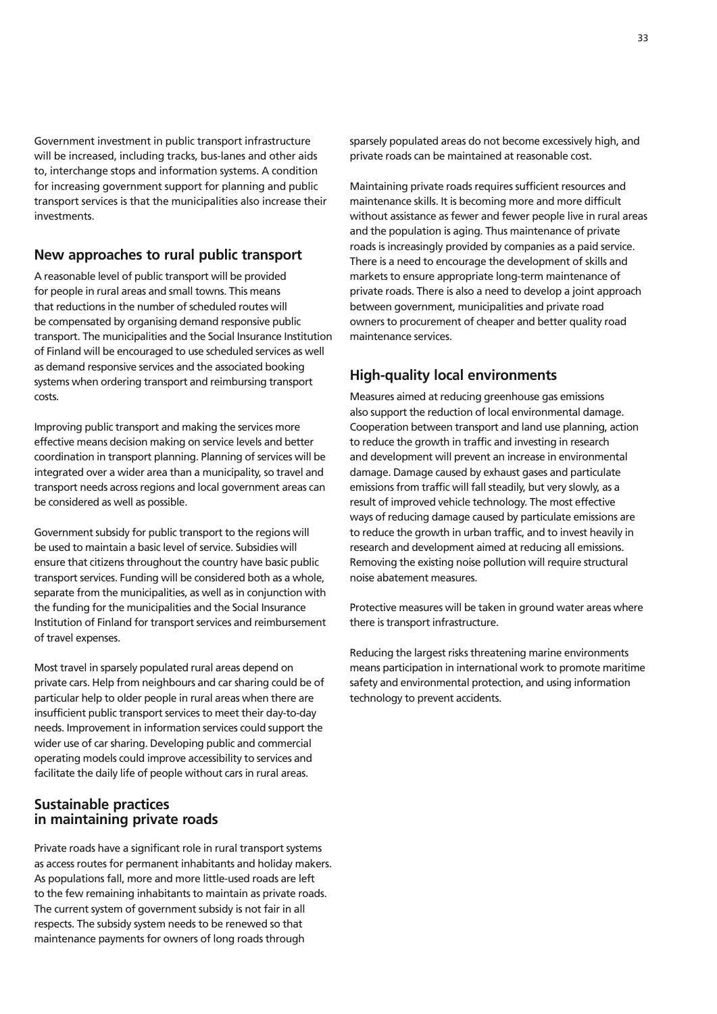Government investment in public transport infrastructure will be increased, including tracks, bus-lanes and other aids to, interchange stops and information systems. A condition for increasing government support for planning and public transport services is that the municipalities also increase their investments.

### **New approaches to rural public transport**

A reasonable level of public transport will be provided for people in rural areas and small towns. This means that reductions in the number of scheduled routes will be compensated by organising demand responsive public transport. The municipalities and the Social Insurance Institution of Finland will be encouraged to use scheduled services as well as demand responsive services and the associated booking systems when ordering transport and reimbursing transport costs.

Improving public transport and making the services more effective means decision making on service levels and better coordination in transport planning. Planning of services will be integrated over a wider area than a municipality, so travel and transport needs across regions and local government areas can be considered as well as possible.

Government subsidy for public transport to the regions will be used to maintain a basic level of service. Subsidies will ensure that citizens throughout the country have basic public transport services. Funding will be considered both as a whole, separate from the municipalities, as well as in conjunction with the funding for the municipalities and the Social Insurance Institution of Finland for transport services and reimbursement of travel expenses.

Most travel in sparsely populated rural areas depend on private cars. Help from neighbours and car sharing could be of particular help to older people in rural areas when there are insufficient public transport services to meet their day-to-day needs. Improvement in information services could support the wider use of car sharing. Developing public and commercial operating models could improve accessibility to services and facilitate the daily life of people without cars in rural areas.

# **Sustainable practices in maintaining private roads**

Private roads have a significant role in rural transport systems as access routes for permanent inhabitants and holiday makers. As populations fall, more and more little-used roads are left to the few remaining inhabitants to maintain as private roads. The current system of government subsidy is not fair in all respects. The subsidy system needs to be renewed so that maintenance payments for owners of long roads through

sparsely populated areas do not become excessively high, and private roads can be maintained at reasonable cost.

Maintaining private roads requires sufficient resources and maintenance skills. It is becoming more and more difficult without assistance as fewer and fewer people live in rural areas and the population is aging. Thus maintenance of private roads is increasingly provided by companies as a paid service. There is a need to encourage the development of skills and markets to ensure appropriate long-term maintenance of private roads. There is also a need to develop a joint approach between government, municipalities and private road owners to procurement of cheaper and better quality road maintenance services.

# **High-quality local environments**

Measures aimed at reducing greenhouse gas emissions also support the reduction of local environmental damage. Cooperation between transport and land use planning, action to reduce the growth in traffic and investing in research and development will prevent an increase in environmental damage. Damage caused by exhaust gases and particulate emissions from traffic will fall steadily, but very slowly, as a result of improved vehicle technology. The most effective ways of reducing damage caused by particulate emissions are to reduce the growth in urban traffic, and to invest heavily in research and development aimed at reducing all emissions. Removing the existing noise pollution will require structural noise abatement measures.

Protective measures will be taken in ground water areas where there is transport infrastructure.

Reducing the largest risks threatening marine environments means participation in international work to promote maritime safety and environmental protection, and using information technology to prevent accidents.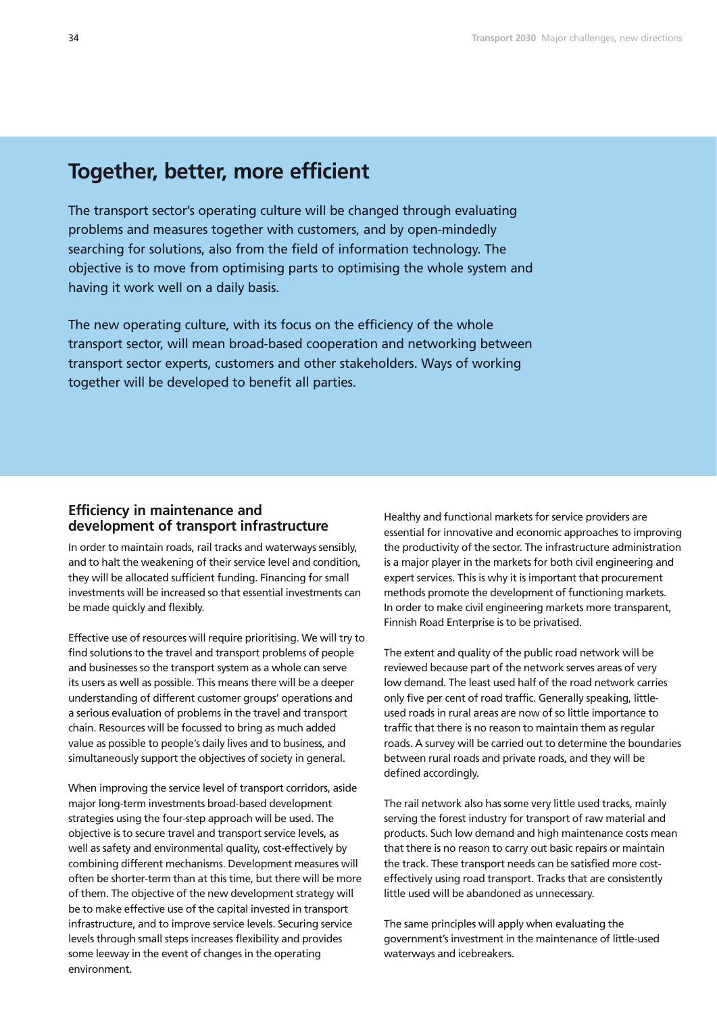# **Together, better, more efficient**

The transport sector's operating culture will be changed through evaluating problems and measures together with customers, and by open-mindedly searching for solutions, also from the field of information technology. The objective is to move from optimising parts to optimising the whole system and having it work well on a daily basis.

The new operating culture, with its focus on the efficiency of the whole transport sector, will mean broad-based cooperation and networking between transport sector experts, customers and other stakeholders. Ways of working together will be developed to benefit all parties.

### **Efficiency in maintenance and development of transport infrastructure**

In order to maintain roads, rail tracks and waterways sensibly, and to halt the weakening of their service level and condition, they will be allocated sufficient funding. Financing for small investments will be increased so that essential investments can be made quickly and flexibly.

Effective use of resources will require prioritising. We will try to find solutions to the travel and transport problems of people and businesses so the transport system as a whole can serve its users as well as possible. This means there will be a deeper understanding of different customer groups' operations and a serious evaluation of problems in the travel and transport chain. Resources will be focussed to bring as much added value as possible to people's daily lives and to business, and simultaneously support the objectives of society in general.

When improving the service level of transport corridors, aside major long-term investments broad-based development strategies using the four-step approach will be used. The objective is to secure travel and transport service levels, as well as safety and environmental quality, cost-effectively by combining different mechanisms. Development measures will often be shorter-term than at this time, but there will be more of them. The objective of the new development strategy will be to make effective use of the capital invested in transport infrastructure, and to improve service levels. Securing service levels through small steps increases flexibility and provides some leeway in the event of changes in the operating environment.

Healthy and functional markets for service providers are essential for innovative and economic approaches to improving the productivity of the sector. The infrastructure administration is a major player in the markets for both civil engineering and expert services. This is why it is important that procurement methods promote the development of functioning markets. In order to make civil engineering markets more transparent, Finnish Road Enterprise is to be privatised.

The extent and quality of the public road network will be reviewed because part of the network serves areas of very low demand. The least used half of the road network carries only five per cent of road traffic. Generally speaking, littleused roads in rural areas are now of so little importance to traffic that there is no reason to maintain them as regular roads. A survey will be carried out to determine the boundaries between rural roads and private roads, and they will be defined accordingly.

The rail network also has some very little used tracks, mainly serving the forest industry for transport of raw material and products. Such low demand and high maintenance costs mean that there is no reason to carry out basic repairs or maintain the track. These transport needs can be satisfied more costeffectively using road transport. Tracks that are consistently little used will be abandoned as unnecessary.

The same principles will apply when evaluating the government's investment in the maintenance of little-used waterways and icebreakers.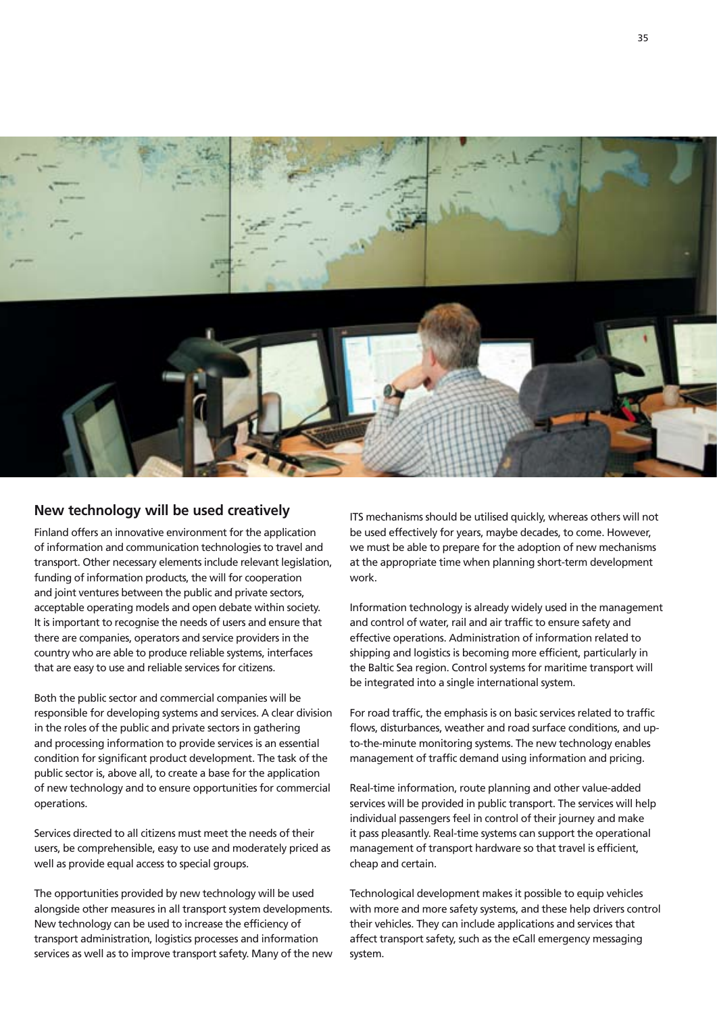

# **New technology will be used creatively**

Finland offers an innovative environment for the application of information and communication technologies to travel and transport. Other necessary elements include relevant legislation, funding of information products, the will for cooperation and joint ventures between the public and private sectors, acceptable operating models and open debate within society. It is important to recognise the needs of users and ensure that there are companies, operators and service providers in the country who are able to produce reliable systems, interfaces that are easy to use and reliable services for citizens.

Both the public sector and commercial companies will be responsible for developing systems and services. A clear division in the roles of the public and private sectors in gathering and processing information to provide services is an essential condition for significant product development. The task of the public sector is, above all, to create a base for the application of new technology and to ensure opportunities for commercial operations.

Services directed to all citizens must meet the needs of their users, be comprehensible, easy to use and moderately priced as well as provide equal access to special groups.

The opportunities provided by new technology will be used alongside other measures in all transport system developments. New technology can be used to increase the efficiency of transport administration, logistics processes and information services as well as to improve transport safety. Many of the new

ITS mechanisms should be utilised quickly, whereas others will not be used effectively for years, maybe decades, to come. However, we must be able to prepare for the adoption of new mechanisms at the appropriate time when planning short-term development work.

Information technology is already widely used in the management and control of water, rail and air traffic to ensure safety and effective operations. Administration of information related to shipping and logistics is becoming more efficient, particularly in the Baltic Sea region. Control systems for maritime transport will be integrated into a single international system.

For road traffic, the emphasis is on basic services related to traffic flows, disturbances, weather and road surface conditions, and upto-the-minute monitoring systems. The new technology enables management of traffic demand using information and pricing.

Real-time information, route planning and other value-added services will be provided in public transport. The services will help individual passengers feel in control of their journey and make it pass pleasantly. Real-time systems can support the operational management of transport hardware so that travel is efficient, cheap and certain.

Technological development makes it possible to equip vehicles with more and more safety systems, and these help drivers control their vehicles. They can include applications and services that affect transport safety, such as the eCall emergency messaging system.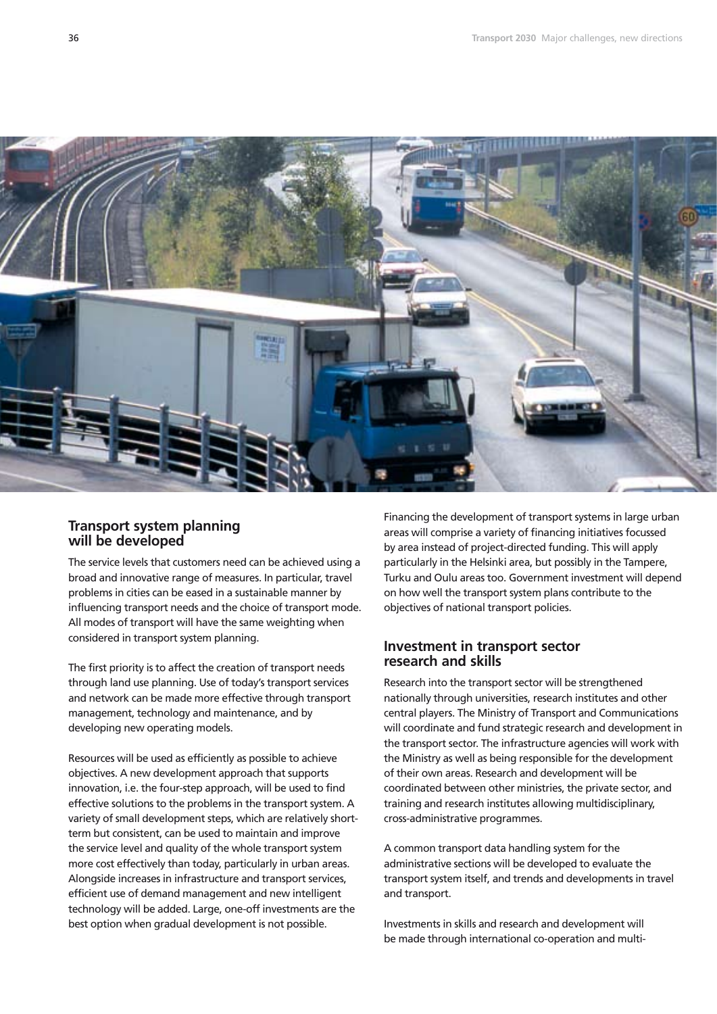

## **Transport system planning will be developed**

The service levels that customers need can be achieved using a broad and innovative range of measures. In particular, travel problems in cities can be eased in a sustainable manner by influencing transport needs and the choice of transport mode. All modes of transport will have the same weighting when considered in transport system planning.

The first priority is to affect the creation of transport needs through land use planning. Use of today's transport services and network can be made more effective through transport management, technology and maintenance, and by developing new operating models.

Resources will be used as efficiently as possible to achieve objectives. A new development approach that supports innovation, i.e. the four-step approach, will be used to find effective solutions to the problems in the transport system. A variety of small development steps, which are relatively shortterm but consistent, can be used to maintain and improve the service level and quality of the whole transport system more cost effectively than today, particularly in urban areas. Alongside increases in infrastructure and transport services, efficient use of demand management and new intelligent technology will be added. Large, one-off investments are the best option when gradual development is not possible.

Financing the development of transport systems in large urban areas will comprise a variety of financing initiatives focussed by area instead of project-directed funding. This will apply particularly in the Helsinki area, but possibly in the Tampere, Turku and Oulu areas too. Government investment will depend on how well the transport system plans contribute to the objectives of national transport policies.

### **Investment in transport sector research and skills**

Research into the transport sector will be strengthened nationally through universities, research institutes and other central players. The Ministry of Transport and Communications will coordinate and fund strategic research and development in the transport sector. The infrastructure agencies will work with the Ministry as well as being responsible for the development of their own areas. Research and development will be coordinated between other ministries, the private sector, and training and research institutes allowing multidisciplinary, cross-administrative programmes.

A common transport data handling system for the administrative sections will be developed to evaluate the transport system itself, and trends and developments in travel and transport.

Investments in skills and research and development will be made through international co-operation and multi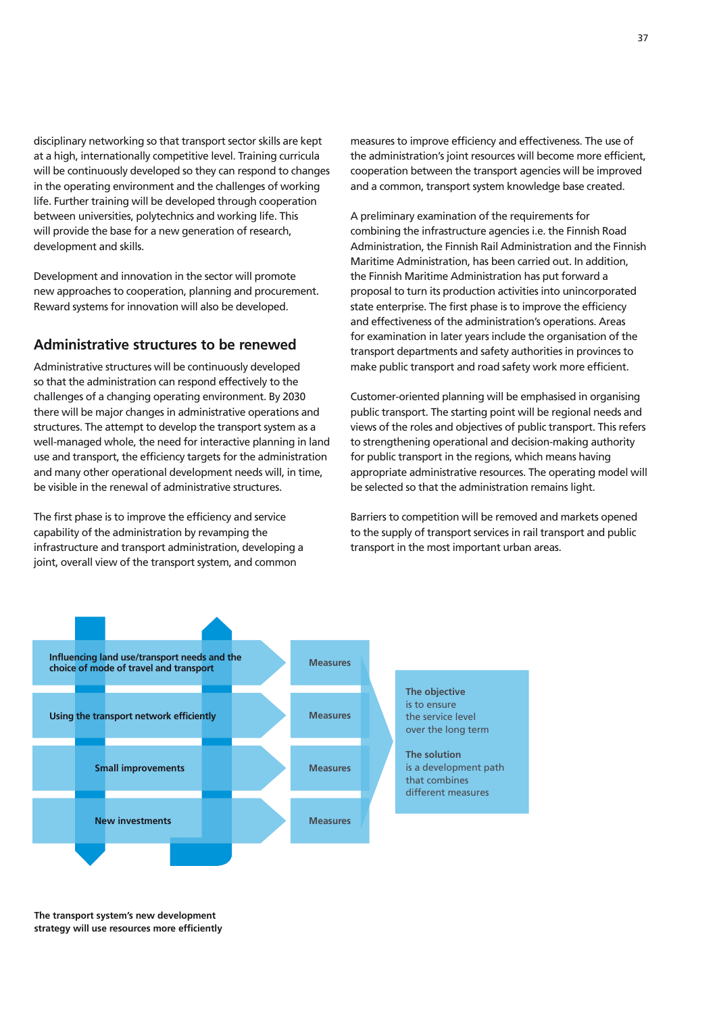disciplinary networking so that transport sector skills are kept at a high, internationally competitive level. Training curricula will be continuously developed so they can respond to changes in the operating environment and the challenges of working life. Further training will be developed through cooperation between universities, polytechnics and working life. This will provide the base for a new generation of research, development and skills.

Development and innovation in the sector will promote new approaches to cooperation, planning and procurement. Reward systems for innovation will also be developed.

## **Administrative structures to be renewed**

Administrative structures will be continuously developed so that the administration can respond effectively to the challenges of a changing operating environment. By 2030 there will be major changes in administrative operations and structures. The attempt to develop the transport system as a well-managed whole, the need for interactive planning in land use and transport, the efficiency targets for the administration and many other operational development needs will, in time, be visible in the renewal of administrative structures.

The first phase is to improve the efficiency and service capability of the administration by revamping the infrastructure and transport administration, developing a joint, overall view of the transport system, and common

measures to improve efficiency and effectiveness. The use of the administration's joint resources will become more efficient, cooperation between the transport agencies will be improved and a common, transport system knowledge base created.

A preliminary examination of the requirements for combining the infrastructure agencies i.e. the Finnish Road Administration, the Finnish Rail Administration and the Finnish Maritime Administration, has been carried out. In addition, the Finnish Maritime Administration has put forward a proposal to turn its production activities into unincorporated state enterprise. The first phase is to improve the efficiency and effectiveness of the administration's operations. Areas for examination in later years include the organisation of the transport departments and safety authorities in provinces to make public transport and road safety work more efficient.

Customer-oriented planning will be emphasised in organising public transport. The starting point will be regional needs and views of the roles and objectives of public transport. This refers to strengthening operational and decision-making authority for public transport in the regions, which means having appropriate administrative resources. The operating model will be selected so that the administration remains light.

Barriers to competition will be removed and markets opened to the supply of transport services in rail transport and public transport in the most important urban areas.



**The transport system's new development strategy will use resources more efficiently**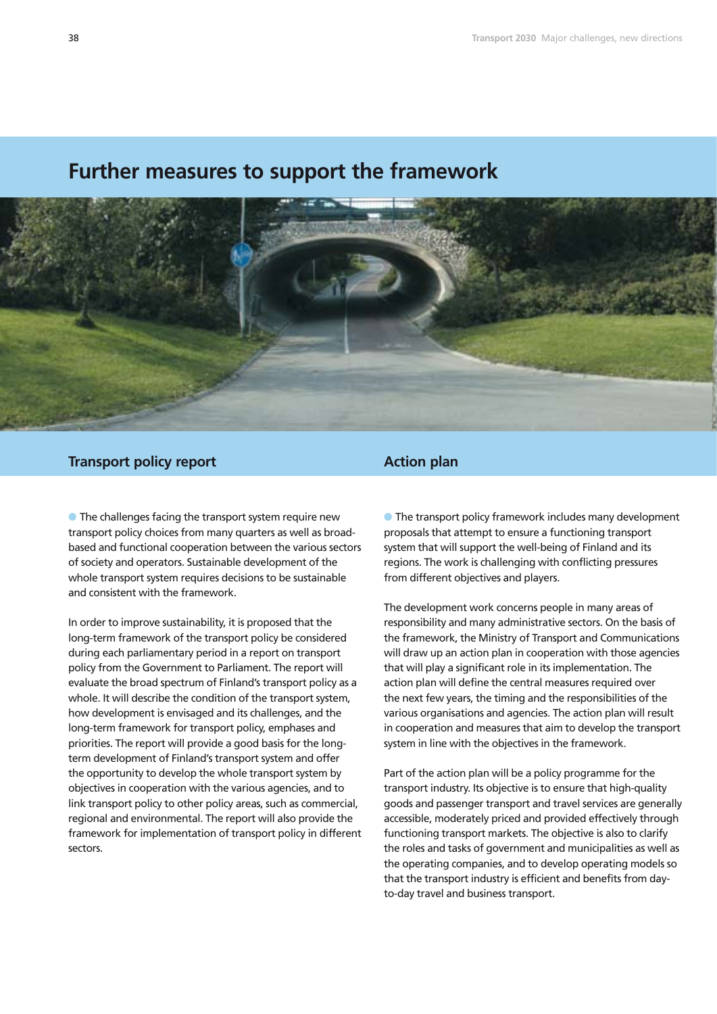# **Further measures to support the framework**



# **Transport policy report**

**• The challenges facing the transport system require new** transport policy choices from many quarters as well as broadbased and functional cooperation between the various sectors of society and operators. Sustainable development of the whole transport system requires decisions to be sustainable and consistent with the framework.

In order to improve sustainability, it is proposed that the long-term framework of the transport policy be considered during each parliamentary period in a report on transport policy from the Government to Parliament. The report will evaluate the broad spectrum of Finland's transport policy as a whole. It will describe the condition of the transport system, how development is envisaged and its challenges, and the long-term framework for transport policy, emphases and priorities. The report will provide a good basis for the longterm development of Finland's transport system and offer the opportunity to develop the whole transport system by objectives in cooperation with the various agencies, and to link transport policy to other policy areas, such as commercial, regional and environmental. The report will also provide the framework for implementation of transport policy in different sectors.

### **Action plan**

**• The transport policy framework includes many development** proposals that attempt to ensure a functioning transport system that will support the well-being of Finland and its regions. The work is challenging with conflicting pressures from different objectives and players.

The development work concerns people in many areas of responsibility and many administrative sectors. On the basis of the framework, the Ministry of Transport and Communications will draw up an action plan in cooperation with those agencies that will play a significant role in its implementation. The action plan will define the central measures required over the next few years, the timing and the responsibilities of the various organisations and agencies. The action plan will result in cooperation and measures that aim to develop the transport system in line with the objectives in the framework.

Part of the action plan will be a policy programme for the transport industry. Its objective is to ensure that high-quality goods and passenger transport and travel services are generally accessible, moderately priced and provided effectively through functioning transport markets. The objective is also to clarify the roles and tasks of government and municipalities as well as the operating companies, and to develop operating models so that the transport industry is efficient and benefits from dayto-day travel and business transport.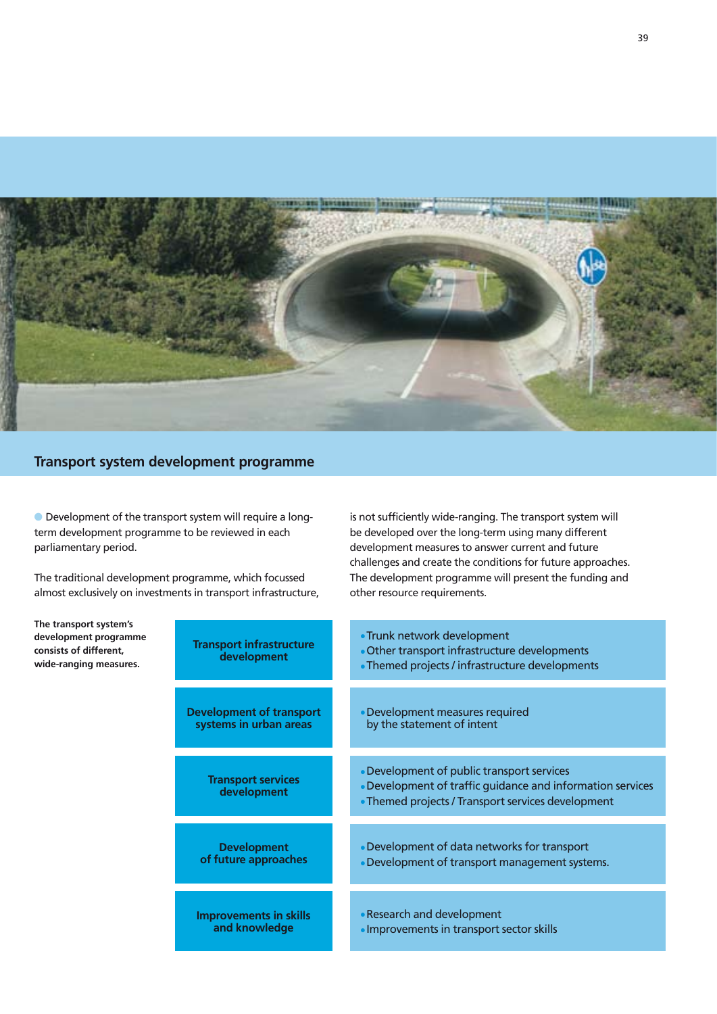

# **Transport system development programme**

 Development of the transport system will require a longterm development programme to be reviewed in each parliamentary period.

The traditional development programme, which focussed almost exclusively on investments in transport infrastructure,

**The transport system's**  development program **consists of different,**  wide-ranging measu

is not sufficiently wide-ranging. The transport system will be developed over the long-term using many different development measures to answer current and future challenges and create the conditions for future approaches. The development programme will present the funding and other resource requirements.

| mme<br>res. | <b>Transport infrastructure</b><br>development            | • Trunk network development<br>• Other transport infrastructure developments<br>• Themed projects / infrastructure developments                                |
|-------------|-----------------------------------------------------------|----------------------------------------------------------------------------------------------------------------------------------------------------------------|
|             | <b>Development of transport</b><br>systems in urban areas | • Development measures required<br>by the statement of intent                                                                                                  |
|             | <b>Transport services</b><br>development                  | • Development of public transport services<br>• Development of traffic guidance and information services<br>• Themed projects / Transport services development |
|             | <b>Development</b><br>of future approaches                | • Development of data networks for transport<br>• Development of transport management systems.                                                                 |
|             | <b>Improvements in skills</b><br>and knowledge            | • Research and development<br>· Improvements in transport sector skills                                                                                        |